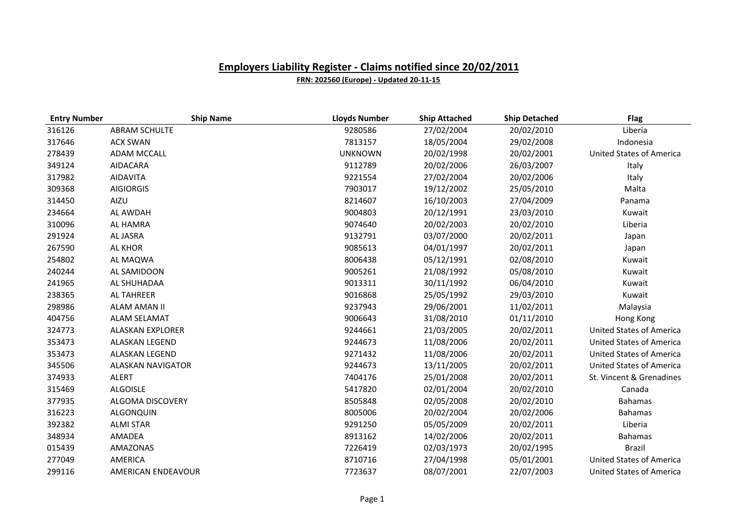| <b>Entry Number</b> | <b>Ship Name</b>        | <b>Lloyds Number</b> | <b>Ship Attached</b> | <b>Ship Detached</b> | <b>Flag</b>                     |
|---------------------|-------------------------|----------------------|----------------------|----------------------|---------------------------------|
| 316126              | <b>ABRAM SCHULTE</b>    | 9280586              | 27/02/2004           | 20/02/2010           | Liberia                         |
| 317646              | <b>ACX SWAN</b>         | 7813157              | 18/05/2004           | 29/02/2008           | Indonesia                       |
| 278439              | <b>ADAM MCCALL</b>      | <b>UNKNOWN</b>       | 20/02/1998           | 20/02/2001           | <b>United States of America</b> |
| 349124              | AIDACARA                | 9112789              | 20/02/2006           | 26/03/2007           | Italy                           |
| 317982              | <b>AIDAVITA</b>         | 9221554              | 27/02/2004           | 20/02/2006           | Italy                           |
| 309368              | <b>AIGIORGIS</b>        | 7903017              | 19/12/2002           | 25/05/2010           | Malta                           |
| 314450              | AIZU                    | 8214607              | 16/10/2003           | 27/04/2009           | Panama                          |
| 234664              | AL AWDAH                | 9004803              | 20/12/1991           | 23/03/2010           | Kuwait                          |
| 310096              | AL HAMRA                | 9074640              | 20/02/2003           | 20/02/2010           | Liberia                         |
| 291924              | AL JASRA                | 9132791              | 03/07/2000           | 20/02/2011           | Japan                           |
| 267590              | <b>AL KHOR</b>          | 9085613              | 04/01/1997           | 20/02/2011           | Japan                           |
| 254802              | AL MAQWA                | 8006438              | 05/12/1991           | 02/08/2010           | Kuwait                          |
| 240244              | AL SAMIDOON             | 9005261              | 21/08/1992           | 05/08/2010           | Kuwait                          |
| 241965              | AL SHUHADAA             | 9013311              | 30/11/1992           | 06/04/2010           | Kuwait                          |
| 238365              | <b>AL TAHREER</b>       | 9016868              | 25/05/1992           | 29/03/2010           | Kuwait                          |
| 298986              | ALAM AMAN II            | 9237943              | 29/06/2001           | 11/02/2011           | Malaysia                        |
| 404756              | <b>ALAM SELAMAT</b>     | 9006643              | 31/08/2010           | 01/11/2010           | Hong Kong                       |
| 324773              | <b>ALASKAN EXPLORER</b> | 9244661              | 21/03/2005           | 20/02/2011           | <b>United States of America</b> |
| 353473              | ALASKAN LEGEND          | 9244673              | 11/08/2006           | 20/02/2011           | <b>United States of America</b> |
| 353473              | <b>ALASKAN LEGEND</b>   | 9271432              | 11/08/2006           | 20/02/2011           | <b>United States of America</b> |
| 345506              | ALASKAN NAVIGATOR       | 9244673              | 13/11/2005           | 20/02/2011           | <b>United States of America</b> |
| 374933              | <b>ALERT</b>            | 7404176              | 25/01/2008           | 20/02/2011           | St. Vincent & Grenadines        |
| 315469              | <b>ALGOISLE</b>         | 5417820              | 02/01/2004           | 20/02/2010           | Canada                          |
| 377935              | <b>ALGOMA DISCOVERY</b> | 8505848              | 02/05/2008           | 20/02/2010           | <b>Bahamas</b>                  |
| 316223              | ALGONQUIN               | 8005006              | 20/02/2004           | 20/02/2006           | <b>Bahamas</b>                  |
| 392382              | <b>ALMI STAR</b>        | 9291250              | 05/05/2009           | 20/02/2011           | Liberia                         |
| 348934              | AMADEA                  | 8913162              | 14/02/2006           | 20/02/2011           | <b>Bahamas</b>                  |
| 015439              | AMAZONAS                | 7226419              | 02/03/1973           | 20/02/1995           | <b>Brazil</b>                   |
| 277049              | AMERICA                 | 8710716              | 27/04/1998           | 05/01/2001           | <b>United States of America</b> |
| 299116              | AMERICAN ENDEAVOUR      | 7723637              | 08/07/2001           | 22/07/2003           | <b>United States of America</b> |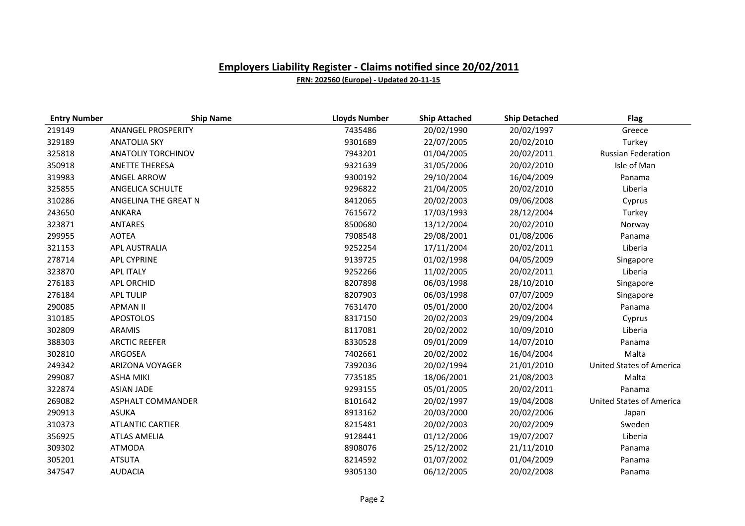| <b>Entry Number</b> | <b>Ship Name</b>          | <b>Lloyds Number</b> | <b>Ship Attached</b> | <b>Ship Detached</b> | <b>Flag</b>                     |
|---------------------|---------------------------|----------------------|----------------------|----------------------|---------------------------------|
| 219149              | <b>ANANGEL PROSPERITY</b> | 7435486              | 20/02/1990           | 20/02/1997           | Greece                          |
| 329189              | <b>ANATOLIA SKY</b>       | 9301689              | 22/07/2005           | 20/02/2010           | Turkey                          |
| 325818              | ANATOLIY TORCHINOV        | 7943201              | 01/04/2005           | 20/02/2011           | <b>Russian Federation</b>       |
| 350918              | <b>ANETTE THERESA</b>     | 9321639              | 31/05/2006           | 20/02/2010           | Isle of Man                     |
| 319983              | <b>ANGEL ARROW</b>        | 9300192              | 29/10/2004           | 16/04/2009           | Panama                          |
| 325855              | ANGELICA SCHULTE          | 9296822              | 21/04/2005           | 20/02/2010           | Liberia                         |
| 310286              | ANGELINA THE GREAT N      | 8412065              | 20/02/2003           | 09/06/2008           | Cyprus                          |
| 243650              | ANKARA                    | 7615672              | 17/03/1993           | 28/12/2004           | Turkey                          |
| 323871              | <b>ANTARES</b>            | 8500680              | 13/12/2004           | 20/02/2010           | Norway                          |
| 299955              | <b>AOTEA</b>              | 7908548              | 29/08/2001           | 01/08/2006           | Panama                          |
| 321153              | APL AUSTRALIA             | 9252254              | 17/11/2004           | 20/02/2011           | Liberia                         |
| 278714              | <b>APL CYPRINE</b>        | 9139725              | 01/02/1998           | 04/05/2009           | Singapore                       |
| 323870              | <b>APL ITALY</b>          | 9252266              | 11/02/2005           | 20/02/2011           | Liberia                         |
| 276183              | <b>APL ORCHID</b>         | 8207898              | 06/03/1998           | 28/10/2010           | Singapore                       |
| 276184              | <b>APL TULIP</b>          | 8207903              | 06/03/1998           | 07/07/2009           | Singapore                       |
| 290085              | <b>APMAN II</b>           | 7631470              | 05/01/2000           | 20/02/2004           | Panama                          |
| 310185              | <b>APOSTOLOS</b>          | 8317150              | 20/02/2003           | 29/09/2004           | Cyprus                          |
| 302809              | <b>ARAMIS</b>             | 8117081              | 20/02/2002           | 10/09/2010           | Liberia                         |
| 388303              | <b>ARCTIC REEFER</b>      | 8330528              | 09/01/2009           | 14/07/2010           | Panama                          |
| 302810              | ARGOSEA                   | 7402661              | 20/02/2002           | 16/04/2004           | Malta                           |
| 249342              | <b>ARIZONA VOYAGER</b>    | 7392036              | 20/02/1994           | 21/01/2010           | <b>United States of America</b> |
| 299087              | <b>ASHA MIKI</b>          | 7735185              | 18/06/2001           | 21/08/2003           | Malta                           |
| 322874              | <b>ASIAN JADE</b>         | 9293155              | 05/01/2005           | 20/02/2011           | Panama                          |
| 269082              | ASPHALT COMMANDER         | 8101642              | 20/02/1997           | 19/04/2008           | <b>United States of America</b> |
| 290913              | <b>ASUKA</b>              | 8913162              | 20/03/2000           | 20/02/2006           | Japan                           |
| 310373              | <b>ATLANTIC CARTIER</b>   | 8215481              | 20/02/2003           | 20/02/2009           | Sweden                          |
| 356925              | <b>ATLAS AMELIA</b>       | 9128441              | 01/12/2006           | 19/07/2007           | Liberia                         |
| 309302              | <b>ATMODA</b>             | 8908076              | 25/12/2002           | 21/11/2010           | Panama                          |
| 305201              | <b>ATSUTA</b>             | 8214592              | 01/07/2002           | 01/04/2009           | Panama                          |
| 347547              | <b>AUDACIA</b>            | 9305130              | 06/12/2005           | 20/02/2008           | Panama                          |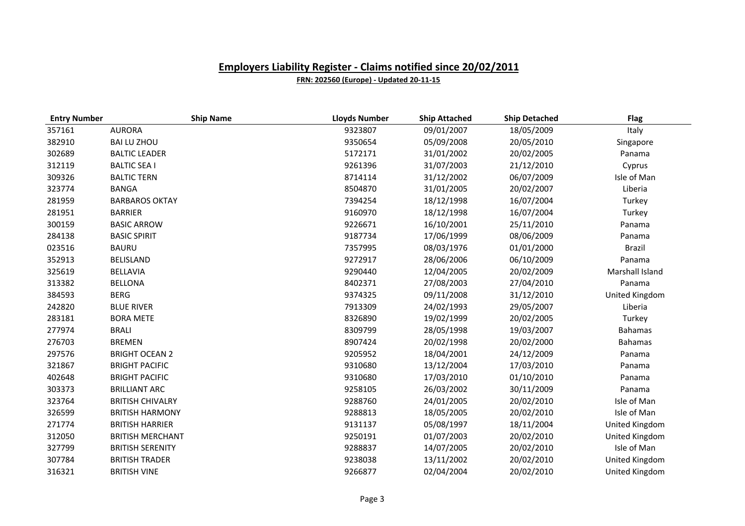| <b>Entry Number</b> | <b>Ship Name</b>        | <b>Lloyds Number</b> | <b>Ship Attached</b> | <b>Ship Detached</b> | <b>Flag</b>     |
|---------------------|-------------------------|----------------------|----------------------|----------------------|-----------------|
| 357161              | <b>AURORA</b>           | 9323807              | 09/01/2007           | 18/05/2009           | Italy           |
| 382910              | <b>BAI LU ZHOU</b>      | 9350654              | 05/09/2008           | 20/05/2010           | Singapore       |
| 302689              | <b>BALTIC LEADER</b>    | 5172171              | 31/01/2002           | 20/02/2005           | Panama          |
| 312119              | <b>BALTIC SEA I</b>     | 9261396              | 31/07/2003           | 21/12/2010           | Cyprus          |
| 309326              | <b>BALTIC TERN</b>      | 8714114              | 31/12/2002           | 06/07/2009           | Isle of Man     |
| 323774              | <b>BANGA</b>            | 8504870              | 31/01/2005           | 20/02/2007           | Liberia         |
| 281959              | <b>BARBAROS OKTAY</b>   | 7394254              | 18/12/1998           | 16/07/2004           | Turkey          |
| 281951              | <b>BARRIER</b>          | 9160970              | 18/12/1998           | 16/07/2004           | Turkey          |
| 300159              | <b>BASIC ARROW</b>      | 9226671              | 16/10/2001           | 25/11/2010           | Panama          |
| 284138              | <b>BASIC SPIRIT</b>     | 9187734              | 17/06/1999           | 08/06/2009           | Panama          |
| 023516              | <b>BAURU</b>            | 7357995              | 08/03/1976           | 01/01/2000           | <b>Brazil</b>   |
| 352913              | <b>BELISLAND</b>        | 9272917              | 28/06/2006           | 06/10/2009           | Panama          |
| 325619              | <b>BELLAVIA</b>         | 9290440              | 12/04/2005           | 20/02/2009           | Marshall Island |
| 313382              | <b>BELLONA</b>          | 8402371              | 27/08/2003           | 27/04/2010           | Panama          |
| 384593              | <b>BERG</b>             | 9374325              | 09/11/2008           | 31/12/2010           | United Kingdom  |
| 242820              | <b>BLUE RIVER</b>       | 7913309              | 24/02/1993           | 29/05/2007           | Liberia         |
| 283181              | <b>BORA METE</b>        | 8326890              | 19/02/1999           | 20/02/2005           | Turkey          |
| 277974              | <b>BRALI</b>            | 8309799              | 28/05/1998           | 19/03/2007           | <b>Bahamas</b>  |
| 276703              | <b>BREMEN</b>           | 8907424              | 20/02/1998           | 20/02/2000           | <b>Bahamas</b>  |
| 297576              | <b>BRIGHT OCEAN 2</b>   | 9205952              | 18/04/2001           | 24/12/2009           | Panama          |
| 321867              | <b>BRIGHT PACIFIC</b>   | 9310680              | 13/12/2004           | 17/03/2010           | Panama          |
| 402648              | <b>BRIGHT PACIFIC</b>   | 9310680              | 17/03/2010           | 01/10/2010           | Panama          |
| 303373              | <b>BRILLIANT ARC</b>    | 9258105              | 26/03/2002           | 30/11/2009           | Panama          |
| 323764              | <b>BRITISH CHIVALRY</b> | 9288760              | 24/01/2005           | 20/02/2010           | Isle of Man     |
| 326599              | <b>BRITISH HARMONY</b>  | 9288813              | 18/05/2005           | 20/02/2010           | Isle of Man     |
| 271774              | <b>BRITISH HARRIER</b>  | 9131137              | 05/08/1997           | 18/11/2004           | United Kingdom  |
| 312050              | <b>BRITISH MERCHANT</b> | 9250191              | 01/07/2003           | 20/02/2010           | United Kingdom  |
| 327799              | <b>BRITISH SERENITY</b> | 9288837              | 14/07/2005           | 20/02/2010           | Isle of Man     |
| 307784              | <b>BRITISH TRADER</b>   | 9238038              | 13/11/2002           | 20/02/2010           | United Kingdom  |
| 316321              | <b>BRITISH VINE</b>     | 9266877              | 02/04/2004           | 20/02/2010           | United Kingdom  |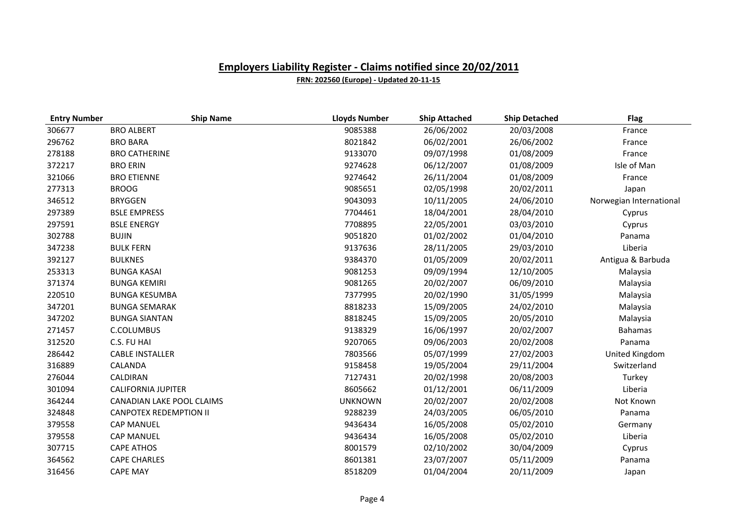| <b>Entry Number</b> | <b>Ship Name</b>              | <b>Lloyds Number</b> | <b>Ship Attached</b> | <b>Ship Detached</b> | <b>Flag</b>             |
|---------------------|-------------------------------|----------------------|----------------------|----------------------|-------------------------|
| 306677              | <b>BRO ALBERT</b>             | 9085388              | 26/06/2002           | 20/03/2008           | France                  |
| 296762              | <b>BRO BARA</b>               | 8021842              | 06/02/2001           | 26/06/2002           | France                  |
| 278188              | <b>BRO CATHERINE</b>          | 9133070              | 09/07/1998           | 01/08/2009           | France                  |
| 372217              | <b>BRO ERIN</b>               | 9274628              | 06/12/2007           | 01/08/2009           | Isle of Man             |
| 321066              | <b>BRO ETIENNE</b>            | 9274642              | 26/11/2004           | 01/08/2009           | France                  |
| 277313              | <b>BROOG</b>                  | 9085651              | 02/05/1998           | 20/02/2011           | Japan                   |
| 346512              | <b>BRYGGEN</b>                | 9043093              | 10/11/2005           | 24/06/2010           | Norwegian International |
| 297389              | <b>BSLE EMPRESS</b>           | 7704461              | 18/04/2001           | 28/04/2010           | Cyprus                  |
| 297591              | <b>BSLE ENERGY</b>            | 7708895              | 22/05/2001           | 03/03/2010           | Cyprus                  |
| 302788              | <b>BUJIN</b>                  | 9051820              | 01/02/2002           | 01/04/2010           | Panama                  |
| 347238              | <b>BULK FERN</b>              | 9137636              | 28/11/2005           | 29/03/2010           | Liberia                 |
| 392127              | <b>BULKNES</b>                | 9384370              | 01/05/2009           | 20/02/2011           | Antigua & Barbuda       |
| 253313              | <b>BUNGA KASAI</b>            | 9081253              | 09/09/1994           | 12/10/2005           | Malaysia                |
| 371374              | <b>BUNGA KEMIRI</b>           | 9081265              | 20/02/2007           | 06/09/2010           | Malaysia                |
| 220510              | <b>BUNGA KESUMBA</b>          | 7377995              | 20/02/1990           | 31/05/1999           | Malaysia                |
| 347201              | <b>BUNGA SEMARAK</b>          | 8818233              | 15/09/2005           | 24/02/2010           | Malaysia                |
| 347202              | <b>BUNGA SIANTAN</b>          | 8818245              | 15/09/2005           | 20/05/2010           | Malaysia                |
| 271457              | C.COLUMBUS                    | 9138329              | 16/06/1997           | 20/02/2007           | <b>Bahamas</b>          |
| 312520              | C.S. FU HAI                   | 9207065              | 09/06/2003           | 20/02/2008           | Panama                  |
| 286442              | <b>CABLE INSTALLER</b>        | 7803566              | 05/07/1999           | 27/02/2003           | United Kingdom          |
| 316889              | CALANDA                       | 9158458              | 19/05/2004           | 29/11/2004           | Switzerland             |
| 276044              | CALDIRAN                      | 7127431              | 20/02/1998           | 20/08/2003           | Turkey                  |
| 301094              | <b>CALIFORNIA JUPITER</b>     | 8605662              | 01/12/2001           | 06/11/2009           | Liberia                 |
| 364244              | CANADIAN LAKE POOL CLAIMS     | <b>UNKNOWN</b>       | 20/02/2007           | 20/02/2008           | Not Known               |
| 324848              | <b>CANPOTEX REDEMPTION II</b> | 9288239              | 24/03/2005           | 06/05/2010           | Panama                  |
| 379558              | <b>CAP MANUEL</b>             | 9436434              | 16/05/2008           | 05/02/2010           | Germany                 |
| 379558              | <b>CAP MANUEL</b>             | 9436434              | 16/05/2008           | 05/02/2010           | Liberia                 |
| 307715              | <b>CAPE ATHOS</b>             | 8001579              | 02/10/2002           | 30/04/2009           | Cyprus                  |
| 364562              | <b>CAPE CHARLES</b>           | 8601381              | 23/07/2007           | 05/11/2009           | Panama                  |
| 316456              | <b>CAPE MAY</b>               | 8518209              | 01/04/2004           | 20/11/2009           | Japan                   |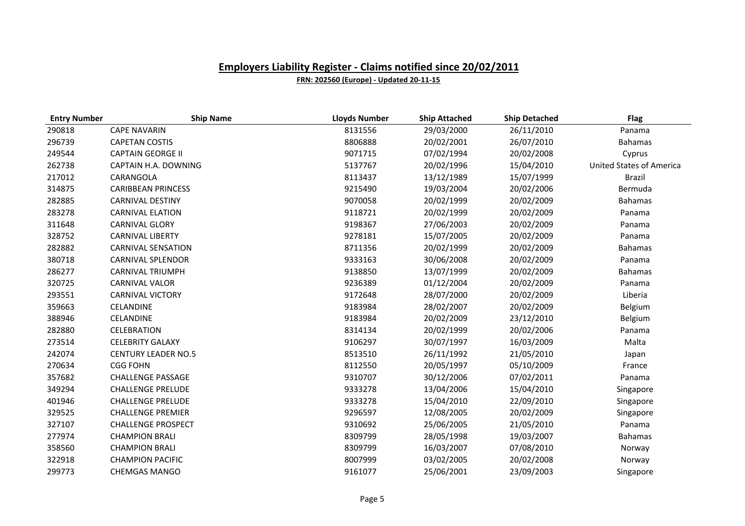| <b>Entry Number</b> | <b>Ship Name</b>           | <b>Lloyds Number</b> | <b>Ship Attached</b> | <b>Ship Detached</b> | <b>Flag</b>                     |
|---------------------|----------------------------|----------------------|----------------------|----------------------|---------------------------------|
| 290818              | <b>CAPE NAVARIN</b>        | 8131556              | 29/03/2000           | 26/11/2010           | Panama                          |
| 296739              | <b>CAPETAN COSTIS</b>      | 8806888              | 20/02/2001           | 26/07/2010           | <b>Bahamas</b>                  |
| 249544              | <b>CAPTAIN GEORGE II</b>   | 9071715              | 07/02/1994           | 20/02/2008           | Cyprus                          |
| 262738              | CAPTAIN H.A. DOWNING       | 5137767              | 20/02/1996           | 15/04/2010           | <b>United States of America</b> |
| 217012              | CARANGOLA                  | 8113437              | 13/12/1989           | 15/07/1999           | <b>Brazil</b>                   |
| 314875              | <b>CARIBBEAN PRINCESS</b>  | 9215490              | 19/03/2004           | 20/02/2006           | Bermuda                         |
| 282885              | <b>CARNIVAL DESTINY</b>    | 9070058              | 20/02/1999           | 20/02/2009           | <b>Bahamas</b>                  |
| 283278              | <b>CARNIVAL ELATION</b>    | 9118721              | 20/02/1999           | 20/02/2009           | Panama                          |
| 311648              | <b>CARNIVAL GLORY</b>      | 9198367              | 27/06/2003           | 20/02/2009           | Panama                          |
| 328752              | <b>CARNIVAL LIBERTY</b>    | 9278181              | 15/07/2005           | 20/02/2009           | Panama                          |
| 282882              | <b>CARNIVAL SENSATION</b>  | 8711356              | 20/02/1999           | 20/02/2009           | <b>Bahamas</b>                  |
| 380718              | <b>CARNIVAL SPLENDOR</b>   | 9333163              | 30/06/2008           | 20/02/2009           | Panama                          |
| 286277              | <b>CARNIVAL TRIUMPH</b>    | 9138850              | 13/07/1999           | 20/02/2009           | <b>Bahamas</b>                  |
| 320725              | <b>CARNIVAL VALOR</b>      | 9236389              | 01/12/2004           | 20/02/2009           | Panama                          |
| 293551              | <b>CARNIVAL VICTORY</b>    | 9172648              | 28/07/2000           | 20/02/2009           | Liberia                         |
| 359663              | CELANDINE                  | 9183984              | 28/02/2007           | 20/02/2009           | Belgium                         |
| 388946              | CELANDINE                  | 9183984              | 20/02/2009           | 23/12/2010           | Belgium                         |
| 282880              | <b>CELEBRATION</b>         | 8314134              | 20/02/1999           | 20/02/2006           | Panama                          |
| 273514              | <b>CELEBRITY GALAXY</b>    | 9106297              | 30/07/1997           | 16/03/2009           | Malta                           |
| 242074              | <b>CENTURY LEADER NO.5</b> | 8513510              | 26/11/1992           | 21/05/2010           | Japan                           |
| 270634              | <b>CGG FOHN</b>            | 8112550              | 20/05/1997           | 05/10/2009           | France                          |
| 357682              | <b>CHALLENGE PASSAGE</b>   | 9310707              | 30/12/2006           | 07/02/2011           | Panama                          |
| 349294              | <b>CHALLENGE PRELUDE</b>   | 9333278              | 13/04/2006           | 15/04/2010           | Singapore                       |
| 401946              | <b>CHALLENGE PRELUDE</b>   | 9333278              | 15/04/2010           | 22/09/2010           | Singapore                       |
| 329525              | <b>CHALLENGE PREMIER</b>   | 9296597              | 12/08/2005           | 20/02/2009           | Singapore                       |
| 327107              | <b>CHALLENGE PROSPECT</b>  | 9310692              | 25/06/2005           | 21/05/2010           | Panama                          |
| 277974              | <b>CHAMPION BRALI</b>      | 8309799              | 28/05/1998           | 19/03/2007           | <b>Bahamas</b>                  |
| 358560              | <b>CHAMPION BRALI</b>      | 8309799              | 16/03/2007           | 07/08/2010           | Norway                          |
| 322918              | <b>CHAMPION PACIFIC</b>    | 8007999              | 03/02/2005           | 20/02/2008           | Norway                          |
| 299773              | <b>CHEMGAS MANGO</b>       | 9161077              | 25/06/2001           | 23/09/2003           | Singapore                       |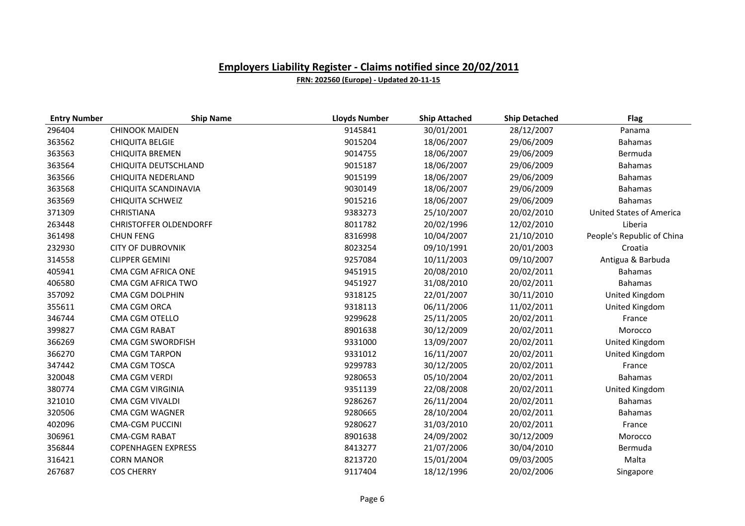| <b>Entry Number</b> | <b>Ship Name</b>              | <b>Lloyds Number</b> | <b>Ship Attached</b> | <b>Ship Detached</b> | <b>Flag</b>                     |
|---------------------|-------------------------------|----------------------|----------------------|----------------------|---------------------------------|
| 296404              | <b>CHINOOK MAIDEN</b>         | 9145841              | 30/01/2001           | 28/12/2007           | Panama                          |
| 363562              | <b>CHIQUITA BELGIE</b>        | 9015204              | 18/06/2007           | 29/06/2009           | <b>Bahamas</b>                  |
| 363563              | <b>CHIQUITA BREMEN</b>        | 9014755              | 18/06/2007           | 29/06/2009           | Bermuda                         |
| 363564              | CHIQUITA DEUTSCHLAND          | 9015187              | 18/06/2007           | 29/06/2009           | <b>Bahamas</b>                  |
| 363566              | CHIQUITA NEDERLAND            | 9015199              | 18/06/2007           | 29/06/2009           | <b>Bahamas</b>                  |
| 363568              | CHIQUITA SCANDINAVIA          | 9030149              | 18/06/2007           | 29/06/2009           | <b>Bahamas</b>                  |
| 363569              | <b>CHIQUITA SCHWEIZ</b>       | 9015216              | 18/06/2007           | 29/06/2009           | <b>Bahamas</b>                  |
| 371309              | <b>CHRISTIANA</b>             | 9383273              | 25/10/2007           | 20/02/2010           | <b>United States of America</b> |
| 263448              | <b>CHRISTOFFER OLDENDORFF</b> | 8011782              | 20/02/1996           | 12/02/2010           | Liberia                         |
| 361498              | <b>CHUN FENG</b>              | 8316998              | 10/04/2007           | 21/10/2010           | People's Republic of China      |
| 232930              | <b>CITY OF DUBROVNIK</b>      | 8023254              | 09/10/1991           | 20/01/2003           | Croatia                         |
| 314558              | <b>CLIPPER GEMINI</b>         | 9257084              | 10/11/2003           | 09/10/2007           | Antigua & Barbuda               |
| 405941              | CMA CGM AFRICA ONE            | 9451915              | 20/08/2010           | 20/02/2011           | <b>Bahamas</b>                  |
| 406580              | CMA CGM AFRICA TWO            | 9451927              | 31/08/2010           | 20/02/2011           | <b>Bahamas</b>                  |
| 357092              | <b>CMA CGM DOLPHIN</b>        | 9318125              | 22/01/2007           | 30/11/2010           | United Kingdom                  |
| 355611              | <b>CMA CGM ORCA</b>           | 9318113              | 06/11/2006           | 11/02/2011           | United Kingdom                  |
| 346744              | CMA CGM OTELLO                | 9299628              | 25/11/2005           | 20/02/2011           | France                          |
| 399827              | <b>CMA CGM RABAT</b>          | 8901638              | 30/12/2009           | 20/02/2011           | Morocco                         |
| 366269              | CMA CGM SWORDFISH             | 9331000              | 13/09/2007           | 20/02/2011           | United Kingdom                  |
| 366270              | <b>CMA CGM TARPON</b>         | 9331012              | 16/11/2007           | 20/02/2011           | United Kingdom                  |
| 347442              | CMA CGM TOSCA                 | 9299783              | 30/12/2005           | 20/02/2011           | France                          |
| 320048              | <b>CMA CGM VERDI</b>          | 9280653              | 05/10/2004           | 20/02/2011           | <b>Bahamas</b>                  |
| 380774              | CMA CGM VIRGINIA              | 9351139              | 22/08/2008           | 20/02/2011           | United Kingdom                  |
| 321010              | <b>CMA CGM VIVALDI</b>        | 9286267              | 26/11/2004           | 20/02/2011           | <b>Bahamas</b>                  |
| 320506              | <b>CMA CGM WAGNER</b>         | 9280665              | 28/10/2004           | 20/02/2011           | <b>Bahamas</b>                  |
| 402096              | <b>CMA-CGM PUCCINI</b>        | 9280627              | 31/03/2010           | 20/02/2011           | France                          |
| 306961              | <b>CMA-CGM RABAT</b>          | 8901638              | 24/09/2002           | 30/12/2009           | Morocco                         |
| 356844              | <b>COPENHAGEN EXPRESS</b>     | 8413277              | 21/07/2006           | 30/04/2010           | Bermuda                         |
| 316421              | <b>CORN MANOR</b>             | 8213720              | 15/01/2004           | 09/03/2005           | Malta                           |
| 267687              | <b>COS CHERRY</b>             | 9117404              | 18/12/1996           | 20/02/2006           | Singapore                       |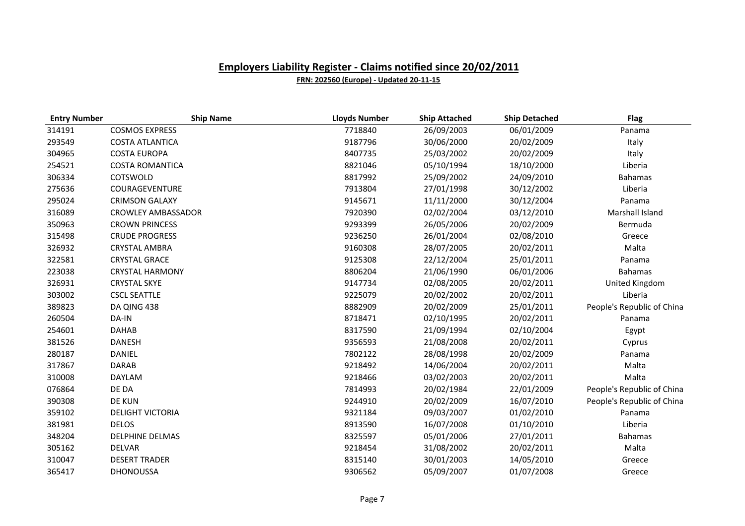| <b>Entry Number</b> | <b>Ship Name</b>          | <b>Lloyds Number</b> | <b>Ship Attached</b> | <b>Ship Detached</b> | <b>Flag</b>                |
|---------------------|---------------------------|----------------------|----------------------|----------------------|----------------------------|
| 314191              | <b>COSMOS EXPRESS</b>     | 7718840              | 26/09/2003           | 06/01/2009           | Panama                     |
| 293549              | <b>COSTA ATLANTICA</b>    | 9187796              | 30/06/2000           | 20/02/2009           | Italy                      |
| 304965              | <b>COSTA EUROPA</b>       | 8407735              | 25/03/2002           | 20/02/2009           | Italy                      |
| 254521              | <b>COSTA ROMANTICA</b>    | 8821046              | 05/10/1994           | 18/10/2000           | Liberia                    |
| 306334              | COTSWOLD                  | 8817992              | 25/09/2002           | 24/09/2010           | <b>Bahamas</b>             |
| 275636              | COURAGEVENTURE            | 7913804              | 27/01/1998           | 30/12/2002           | Liberia                    |
| 295024              | <b>CRIMSON GALAXY</b>     | 9145671              | 11/11/2000           | 30/12/2004           | Panama                     |
| 316089              | <b>CROWLEY AMBASSADOR</b> | 7920390              | 02/02/2004           | 03/12/2010           | Marshall Island            |
| 350963              | <b>CROWN PRINCESS</b>     | 9293399              | 26/05/2006           | 20/02/2009           | Bermuda                    |
| 315498              | <b>CRUDE PROGRESS</b>     | 9236250              | 26/01/2004           | 02/08/2010           | Greece                     |
| 326932              | <b>CRYSTAL AMBRA</b>      | 9160308              | 28/07/2005           | 20/02/2011           | Malta                      |
| 322581              | <b>CRYSTAL GRACE</b>      | 9125308              | 22/12/2004           | 25/01/2011           | Panama                     |
| 223038              | <b>CRYSTAL HARMONY</b>    | 8806204              | 21/06/1990           | 06/01/2006           | <b>Bahamas</b>             |
| 326931              | <b>CRYSTAL SKYE</b>       | 9147734              | 02/08/2005           | 20/02/2011           | United Kingdom             |
| 303002              | <b>CSCL SEATTLE</b>       | 9225079              | 20/02/2002           | 20/02/2011           | Liberia                    |
| 389823              | DA QING 438               | 8882909              | 20/02/2009           | 25/01/2011           | People's Republic of China |
| 260504              | DA-IN                     | 8718471              | 02/10/1995           | 20/02/2011           | Panama                     |
| 254601              | <b>DAHAB</b>              | 8317590              | 21/09/1994           | 02/10/2004           | Egypt                      |
| 381526              | <b>DANESH</b>             | 9356593              | 21/08/2008           | 20/02/2011           | Cyprus                     |
| 280187              | DANIEL                    | 7802122              | 28/08/1998           | 20/02/2009           | Panama                     |
| 317867              | <b>DARAB</b>              | 9218492              | 14/06/2004           | 20/02/2011           | Malta                      |
| 310008              | <b>DAYLAM</b>             | 9218466              | 03/02/2003           | 20/02/2011           | Malta                      |
| 076864              | DE DA                     | 7814993              | 20/02/1984           | 22/01/2009           | People's Republic of China |
| 390308              | <b>DE KUN</b>             | 9244910              | 20/02/2009           | 16/07/2010           | People's Republic of China |
| 359102              | <b>DELIGHT VICTORIA</b>   | 9321184              | 09/03/2007           | 01/02/2010           | Panama                     |
| 381981              | <b>DELOS</b>              | 8913590              | 16/07/2008           | 01/10/2010           | Liberia                    |
| 348204              | <b>DELPHINE DELMAS</b>    | 8325597              | 05/01/2006           | 27/01/2011           | <b>Bahamas</b>             |
| 305162              | <b>DELVAR</b>             | 9218454              | 31/08/2002           | 20/02/2011           | Malta                      |
| 310047              | <b>DESERT TRADER</b>      | 8315140              | 30/01/2003           | 14/05/2010           | Greece                     |
| 365417              | <b>DHONOUSSA</b>          | 9306562              | 05/09/2007           | 01/07/2008           | Greece                     |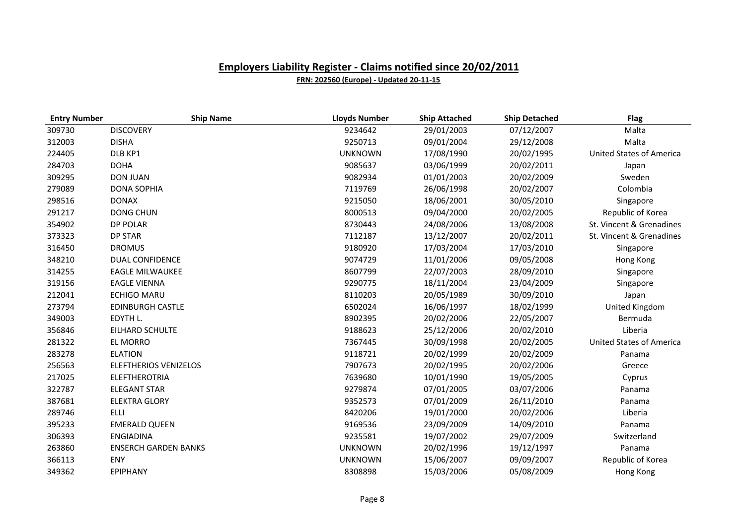| <b>Entry Number</b> | <b>Ship Name</b>             | <b>Lloyds Number</b> | <b>Ship Attached</b> | <b>Ship Detached</b> | <b>Flag</b>                     |
|---------------------|------------------------------|----------------------|----------------------|----------------------|---------------------------------|
| 309730              | <b>DISCOVERY</b>             | 9234642              | 29/01/2003           | 07/12/2007           | Malta                           |
| 312003              | <b>DISHA</b>                 | 9250713              | 09/01/2004           | 29/12/2008           | Malta                           |
| 224405              | DLB KP1                      | <b>UNKNOWN</b>       | 17/08/1990           | 20/02/1995           | <b>United States of America</b> |
| 284703              | <b>DOHA</b>                  | 9085637              | 03/06/1999           | 20/02/2011           | Japan                           |
| 309295              | <b>DON JUAN</b>              | 9082934              | 01/01/2003           | 20/02/2009           | Sweden                          |
| 279089              | <b>DONA SOPHIA</b>           | 7119769              | 26/06/1998           | 20/02/2007           | Colombia                        |
| 298516              | <b>DONAX</b>                 | 9215050              | 18/06/2001           | 30/05/2010           | Singapore                       |
| 291217              | <b>DONG CHUN</b>             | 8000513              | 09/04/2000           | 20/02/2005           | Republic of Korea               |
| 354902              | <b>DP POLAR</b>              | 8730443              | 24/08/2006           | 13/08/2008           | St. Vincent & Grenadines        |
| 373323              | <b>DP STAR</b>               | 7112187              | 13/12/2007           | 20/02/2011           | St. Vincent & Grenadines        |
| 316450              | <b>DROMUS</b>                | 9180920              | 17/03/2004           | 17/03/2010           | Singapore                       |
| 348210              | <b>DUAL CONFIDENCE</b>       | 9074729              | 11/01/2006           | 09/05/2008           | Hong Kong                       |
| 314255              | <b>EAGLE MILWAUKEE</b>       | 8607799              | 22/07/2003           | 28/09/2010           | Singapore                       |
| 319156              | <b>EAGLE VIENNA</b>          | 9290775              | 18/11/2004           | 23/04/2009           | Singapore                       |
| 212041              | <b>ECHIGO MARU</b>           | 8110203              | 20/05/1989           | 30/09/2010           | Japan                           |
| 273794              | <b>EDINBURGH CASTLE</b>      | 6502024              | 16/06/1997           | 18/02/1999           | United Kingdom                  |
| 349003              | EDYTH L.                     | 8902395              | 20/02/2006           | 22/05/2007           | Bermuda                         |
| 356846              | EILHARD SCHULTE              | 9188623              | 25/12/2006           | 20/02/2010           | Liberia                         |
| 281322              | EL MORRO                     | 7367445              | 30/09/1998           | 20/02/2005           | <b>United States of America</b> |
| 283278              | <b>ELATION</b>               | 9118721              | 20/02/1999           | 20/02/2009           | Panama                          |
| 256563              | <b>ELEFTHERIOS VENIZELOS</b> | 7907673              | 20/02/1995           | 20/02/2006           | Greece                          |
| 217025              | <b>ELEFTHEROTRIA</b>         | 7639680              | 10/01/1990           | 19/05/2005           | Cyprus                          |
| 322787              | <b>ELEGANT STAR</b>          | 9279874              | 07/01/2005           | 03/07/2006           | Panama                          |
| 387681              | <b>ELEKTRA GLORY</b>         | 9352573              | 07/01/2009           | 26/11/2010           | Panama                          |
| 289746              | ELLI                         | 8420206              | 19/01/2000           | 20/02/2006           | Liberia                         |
| 395233              | <b>EMERALD QUEEN</b>         | 9169536              | 23/09/2009           | 14/09/2010           | Panama                          |
| 306393              | <b>ENGIADINA</b>             | 9235581              | 19/07/2002           | 29/07/2009           | Switzerland                     |
| 263860              | <b>ENSERCH GARDEN BANKS</b>  | <b>UNKNOWN</b>       | 20/02/1996           | 19/12/1997           | Panama                          |
| 366113              | ENY                          | <b>UNKNOWN</b>       | 15/06/2007           | 09/09/2007           | Republic of Korea               |
| 349362              | <b>EPIPHANY</b>              | 8308898              | 15/03/2006           | 05/08/2009           | Hong Kong                       |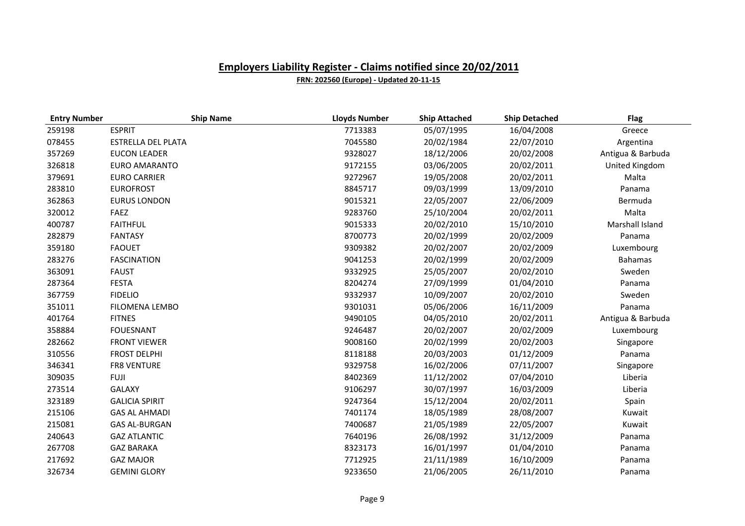| <b>Entry Number</b> | <b>Ship Name</b>          | <b>Lloyds Number</b> | <b>Ship Attached</b> | <b>Ship Detached</b> | <b>Flag</b>       |
|---------------------|---------------------------|----------------------|----------------------|----------------------|-------------------|
| 259198              | <b>ESPRIT</b>             | 7713383              | 05/07/1995           | 16/04/2008           | Greece            |
| 078455              | <b>ESTRELLA DEL PLATA</b> | 7045580              | 20/02/1984           | 22/07/2010           | Argentina         |
| 357269              | <b>EUCON LEADER</b>       | 9328027              | 18/12/2006           | 20/02/2008           | Antigua & Barbuda |
| 326818              | EURO AMARANTO             | 9172155              | 03/06/2005           | 20/02/2011           | United Kingdom    |
| 379691              | <b>EURO CARRIER</b>       | 9272967              | 19/05/2008           | 20/02/2011           | Malta             |
| 283810              | <b>EUROFROST</b>          | 8845717              | 09/03/1999           | 13/09/2010           | Panama            |
| 362863              | <b>EURUS LONDON</b>       | 9015321              | 22/05/2007           | 22/06/2009           | Bermuda           |
| 320012              | FAEZ                      | 9283760              | 25/10/2004           | 20/02/2011           | Malta             |
| 400787              | <b>FAITHFUL</b>           | 9015333              | 20/02/2010           | 15/10/2010           | Marshall Island   |
| 282879              | <b>FANTASY</b>            | 8700773              | 20/02/1999           | 20/02/2009           | Panama            |
| 359180              | <b>FAOUET</b>             | 9309382              | 20/02/2007           | 20/02/2009           | Luxembourg        |
| 283276              | <b>FASCINATION</b>        | 9041253              | 20/02/1999           | 20/02/2009           | <b>Bahamas</b>    |
| 363091              | <b>FAUST</b>              | 9332925              | 25/05/2007           | 20/02/2010           | Sweden            |
| 287364              | <b>FESTA</b>              | 8204274              | 27/09/1999           | 01/04/2010           | Panama            |
| 367759              | <b>FIDELIO</b>            | 9332937              | 10/09/2007           | 20/02/2010           | Sweden            |
| 351011              | <b>FILOMENA LEMBO</b>     | 9301031              | 05/06/2006           | 16/11/2009           | Panama            |
| 401764              | <b>FITNES</b>             | 9490105              | 04/05/2010           | 20/02/2011           | Antigua & Barbuda |
| 358884              | <b>FOUESNANT</b>          | 9246487              | 20/02/2007           | 20/02/2009           | Luxembourg        |
| 282662              | <b>FRONT VIEWER</b>       | 9008160              | 20/02/1999           | 20/02/2003           | Singapore         |
| 310556              | <b>FROST DELPHI</b>       | 8118188              | 20/03/2003           | 01/12/2009           | Panama            |
| 346341              | <b>FR8 VENTURE</b>        | 9329758              | 16/02/2006           | 07/11/2007           | Singapore         |
| 309035              | <b>FUJI</b>               | 8402369              | 11/12/2002           | 07/04/2010           | Liberia           |
| 273514              | <b>GALAXY</b>             | 9106297              | 30/07/1997           | 16/03/2009           | Liberia           |
| 323189              | <b>GALICIA SPIRIT</b>     | 9247364              | 15/12/2004           | 20/02/2011           | Spain             |
| 215106              | <b>GAS AL AHMADI</b>      | 7401174              | 18/05/1989           | 28/08/2007           | Kuwait            |
| 215081              | <b>GAS AL-BURGAN</b>      | 7400687              | 21/05/1989           | 22/05/2007           | Kuwait            |
| 240643              | <b>GAZ ATLANTIC</b>       | 7640196              | 26/08/1992           | 31/12/2009           | Panama            |
| 267708              | <b>GAZ BARAKA</b>         | 8323173              | 16/01/1997           | 01/04/2010           | Panama            |
| 217692              | <b>GAZ MAJOR</b>          | 7712925              | 21/11/1989           | 16/10/2009           | Panama            |
| 326734              | <b>GEMINI GLORY</b>       | 9233650              | 21/06/2005           | 26/11/2010           | Panama            |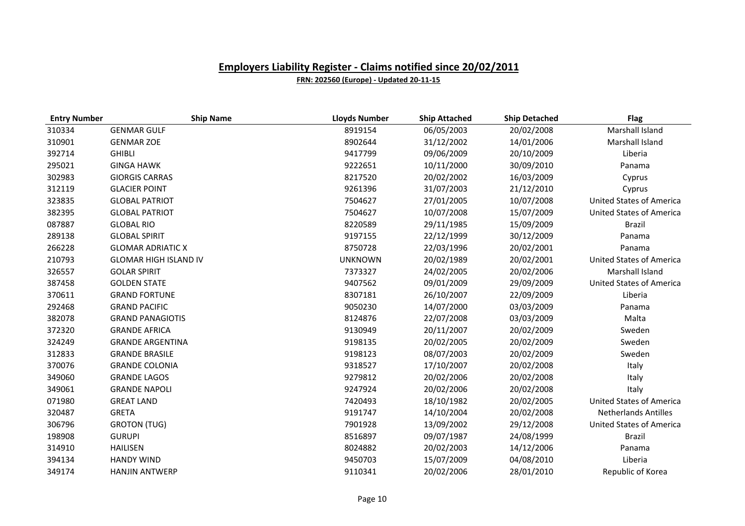| <b>Entry Number</b> | <b>Ship Name</b>             | <b>Lloyds Number</b> | <b>Ship Attached</b> | <b>Ship Detached</b> | <b>Flag</b>                     |
|---------------------|------------------------------|----------------------|----------------------|----------------------|---------------------------------|
| 310334              | <b>GENMAR GULF</b>           | 8919154              | 06/05/2003           | 20/02/2008           | Marshall Island                 |
| 310901              | <b>GENMAR ZOE</b>            | 8902644              | 31/12/2002           | 14/01/2006           | Marshall Island                 |
| 392714              | <b>GHIBLI</b>                | 9417799              | 09/06/2009           | 20/10/2009           | Liberia                         |
| 295021              | <b>GINGA HAWK</b>            | 9222651              | 10/11/2000           | 30/09/2010           | Panama                          |
| 302983              | <b>GIORGIS CARRAS</b>        | 8217520              | 20/02/2002           | 16/03/2009           | Cyprus                          |
| 312119              | <b>GLACIER POINT</b>         | 9261396              | 31/07/2003           | 21/12/2010           | Cyprus                          |
| 323835              | <b>GLOBAL PATRIOT</b>        | 7504627              | 27/01/2005           | 10/07/2008           | <b>United States of America</b> |
| 382395              | <b>GLOBAL PATRIOT</b>        | 7504627              | 10/07/2008           | 15/07/2009           | <b>United States of America</b> |
| 087887              | <b>GLOBAL RIO</b>            | 8220589              | 29/11/1985           | 15/09/2009           | Brazil                          |
| 289138              | <b>GLOBAL SPIRIT</b>         | 9197155              | 22/12/1999           | 30/12/2009           | Panama                          |
| 266228              | <b>GLOMAR ADRIATIC X</b>     | 8750728              | 22/03/1996           | 20/02/2001           | Panama                          |
| 210793              | <b>GLOMAR HIGH ISLAND IV</b> | <b>UNKNOWN</b>       | 20/02/1989           | 20/02/2001           | <b>United States of America</b> |
| 326557              | <b>GOLAR SPIRIT</b>          | 7373327              | 24/02/2005           | 20/02/2006           | Marshall Island                 |
| 387458              | <b>GOLDEN STATE</b>          | 9407562              | 09/01/2009           | 29/09/2009           | <b>United States of America</b> |
| 370611              | <b>GRAND FORTUNE</b>         | 8307181              | 26/10/2007           | 22/09/2009           | Liberia                         |
| 292468              | <b>GRAND PACIFIC</b>         | 9050230              | 14/07/2000           | 03/03/2009           | Panama                          |
| 382078              | <b>GRAND PANAGIOTIS</b>      | 8124876              | 22/07/2008           | 03/03/2009           | Malta                           |
| 372320              | <b>GRANDE AFRICA</b>         | 9130949              | 20/11/2007           | 20/02/2009           | Sweden                          |
| 324249              | <b>GRANDE ARGENTINA</b>      | 9198135              | 20/02/2005           | 20/02/2009           | Sweden                          |
| 312833              | <b>GRANDE BRASILE</b>        | 9198123              | 08/07/2003           | 20/02/2009           | Sweden                          |
| 370076              | <b>GRANDE COLONIA</b>        | 9318527              | 17/10/2007           | 20/02/2008           | Italy                           |
| 349060              | <b>GRANDE LAGOS</b>          | 9279812              | 20/02/2006           | 20/02/2008           | Italy                           |
| 349061              | <b>GRANDE NAPOLI</b>         | 9247924              | 20/02/2006           | 20/02/2008           | Italy                           |
| 071980              | <b>GREAT LAND</b>            | 7420493              | 18/10/1982           | 20/02/2005           | <b>United States of America</b> |
| 320487              | <b>GRETA</b>                 | 9191747              | 14/10/2004           | 20/02/2008           | <b>Netherlands Antilles</b>     |
| 306796              | <b>GROTON (TUG)</b>          | 7901928              | 13/09/2002           | 29/12/2008           | <b>United States of America</b> |
| 198908              | <b>GURUPI</b>                | 8516897              | 09/07/1987           | 24/08/1999           | Brazil                          |
| 314910              | <b>HAILISEN</b>              | 8024882              | 20/02/2003           | 14/12/2006           | Panama                          |
| 394134              | <b>HANDY WIND</b>            | 9450703              | 15/07/2009           | 04/08/2010           | Liberia                         |
| 349174              | <b>HANJIN ANTWERP</b>        | 9110341              | 20/02/2006           | 28/01/2010           | Republic of Korea               |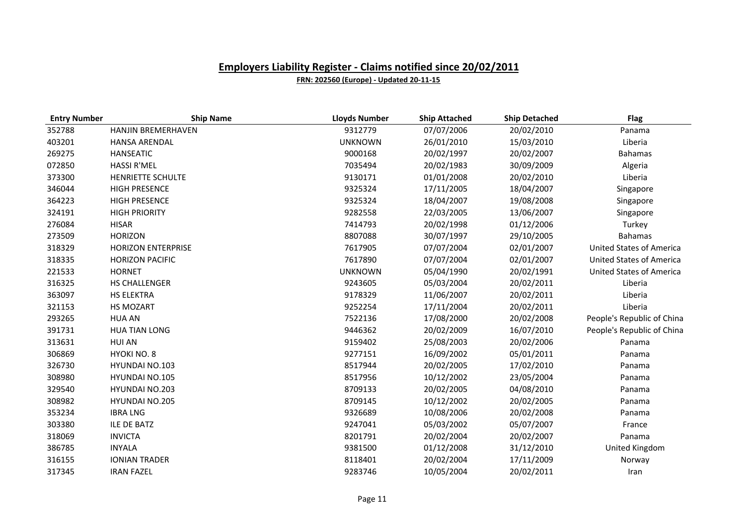| <b>Entry Number</b> | <b>Ship Name</b>          | <b>Lloyds Number</b> | <b>Ship Attached</b> | <b>Ship Detached</b> | <b>Flag</b>                     |
|---------------------|---------------------------|----------------------|----------------------|----------------------|---------------------------------|
| 352788              | <b>HANJIN BREMERHAVEN</b> | 9312779              | 07/07/2006           | 20/02/2010           | Panama                          |
| 403201              | <b>HANSA ARENDAL</b>      | <b>UNKNOWN</b>       | 26/01/2010           | 15/03/2010           | Liberia                         |
| 269275              | <b>HANSEATIC</b>          | 9000168              | 20/02/1997           | 20/02/2007           | <b>Bahamas</b>                  |
| 072850              | <b>HASSI R'MEL</b>        | 7035494              | 20/02/1983           | 30/09/2009           | Algeria                         |
| 373300              | HENRIETTE SCHULTE         | 9130171              | 01/01/2008           | 20/02/2010           | Liberia                         |
| 346044              | <b>HIGH PRESENCE</b>      | 9325324              | 17/11/2005           | 18/04/2007           | Singapore                       |
| 364223              | <b>HIGH PRESENCE</b>      | 9325324              | 18/04/2007           | 19/08/2008           | Singapore                       |
| 324191              | <b>HIGH PRIORITY</b>      | 9282558              | 22/03/2005           | 13/06/2007           | Singapore                       |
| 276084              | <b>HISAR</b>              | 7414793              | 20/02/1998           | 01/12/2006           | Turkey                          |
| 273509              | <b>HORIZON</b>            | 8807088              | 30/07/1997           | 29/10/2005           | <b>Bahamas</b>                  |
| 318329              | <b>HORIZON ENTERPRISE</b> | 7617905              | 07/07/2004           | 02/01/2007           | <b>United States of America</b> |
| 318335              | <b>HORIZON PACIFIC</b>    | 7617890              | 07/07/2004           | 02/01/2007           | <b>United States of America</b> |
| 221533              | <b>HORNET</b>             | <b>UNKNOWN</b>       | 05/04/1990           | 20/02/1991           | <b>United States of America</b> |
| 316325              | <b>HS CHALLENGER</b>      | 9243605              | 05/03/2004           | 20/02/2011           | Liberia                         |
| 363097              | <b>HS ELEKTRA</b>         | 9178329              | 11/06/2007           | 20/02/2011           | Liberia                         |
| 321153              | HS MOZART                 | 9252254              | 17/11/2004           | 20/02/2011           | Liberia                         |
| 293265              | <b>HUA AN</b>             | 7522136              | 17/08/2000           | 20/02/2008           | People's Republic of China      |
| 391731              | <b>HUA TIAN LONG</b>      | 9446362              | 20/02/2009           | 16/07/2010           | People's Republic of China      |
| 313631              | <b>HUI AN</b>             | 9159402              | 25/08/2003           | 20/02/2006           | Panama                          |
| 306869              | HYOKI NO. 8               | 9277151              | 16/09/2002           | 05/01/2011           | Panama                          |
| 326730              | <b>HYUNDAI NO.103</b>     | 8517944              | 20/02/2005           | 17/02/2010           | Panama                          |
| 308980              | HYUNDAI NO.105            | 8517956              | 10/12/2002           | 23/05/2004           | Panama                          |
| 329540              | <b>HYUNDAI NO.203</b>     | 8709133              | 20/02/2005           | 04/08/2010           | Panama                          |
| 308982              | <b>HYUNDAI NO.205</b>     | 8709145              | 10/12/2002           | 20/02/2005           | Panama                          |
| 353234              | <b>IBRA LNG</b>           | 9326689              | 10/08/2006           | 20/02/2008           | Panama                          |
| 303380              | ILE DE BATZ               | 9247041              | 05/03/2002           | 05/07/2007           | France                          |
| 318069              | <b>INVICTA</b>            | 8201791              | 20/02/2004           | 20/02/2007           | Panama                          |
| 386785              | <b>INYALA</b>             | 9381500              | 01/12/2008           | 31/12/2010           | United Kingdom                  |
| 316155              | <b>IONIAN TRADER</b>      | 8118401              | 20/02/2004           | 17/11/2009           | Norway                          |
| 317345              | <b>IRAN FAZEL</b>         | 9283746              | 10/05/2004           | 20/02/2011           | Iran                            |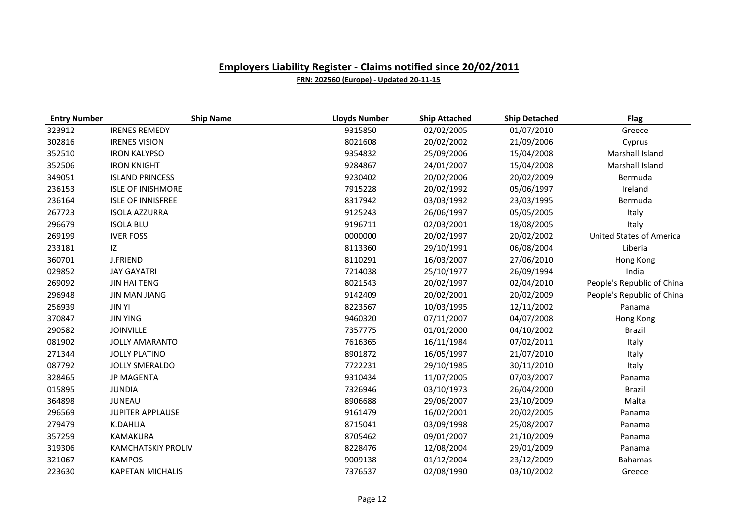| <b>Entry Number</b> | <b>Ship Name</b>          | <b>Lloyds Number</b> | <b>Ship Attached</b> | <b>Ship Detached</b> | <b>Flag</b>                     |
|---------------------|---------------------------|----------------------|----------------------|----------------------|---------------------------------|
| 323912              | <b>IRENES REMEDY</b>      | 9315850              | 02/02/2005           | 01/07/2010           | Greece                          |
| 302816              | <b>IRENES VISION</b>      | 8021608              | 20/02/2002           | 21/09/2006           | Cyprus                          |
| 352510              | <b>IRON KALYPSO</b>       | 9354832              | 25/09/2006           | 15/04/2008           | Marshall Island                 |
| 352506              | <b>IRON KNIGHT</b>        | 9284867              | 24/01/2007           | 15/04/2008           | Marshall Island                 |
| 349051              | <b>ISLAND PRINCESS</b>    | 9230402              | 20/02/2006           | 20/02/2009           | Bermuda                         |
| 236153              | <b>ISLE OF INISHMORE</b>  | 7915228              | 20/02/1992           | 05/06/1997           | Ireland                         |
| 236164              | <b>ISLE OF INNISFREE</b>  | 8317942              | 03/03/1992           | 23/03/1995           | Bermuda                         |
| 267723              | <b>ISOLA AZZURRA</b>      | 9125243              | 26/06/1997           | 05/05/2005           | Italy                           |
| 296679              | <b>ISOLA BLU</b>          | 9196711              | 02/03/2001           | 18/08/2005           | Italy                           |
| 269199              | <b>IVER FOSS</b>          | 0000000              | 20/02/1997           | 20/02/2002           | <b>United States of America</b> |
| 233181              | IZ                        | 8113360              | 29/10/1991           | 06/08/2004           | Liberia                         |
| 360701              | <b>J.FRIEND</b>           | 8110291              | 16/03/2007           | 27/06/2010           | Hong Kong                       |
| 029852              | <b>JAY GAYATRI</b>        | 7214038              | 25/10/1977           | 26/09/1994           | India                           |
| 269092              | <b>JIN HAI TENG</b>       | 8021543              | 20/02/1997           | 02/04/2010           | People's Republic of China      |
| 296948              | <b>JIN MAN JIANG</b>      | 9142409              | 20/02/2001           | 20/02/2009           | People's Republic of China      |
| 256939              | <b>JIN YI</b>             | 8223567              | 10/03/1995           | 12/11/2002           | Panama                          |
| 370847              | <b>JIN YING</b>           | 9460320              | 07/11/2007           | 04/07/2008           | Hong Kong                       |
| 290582              | <b>JOINVILLE</b>          | 7357775              | 01/01/2000           | 04/10/2002           | Brazil                          |
| 081902              | <b>JOLLY AMARANTO</b>     | 7616365              | 16/11/1984           | 07/02/2011           | Italy                           |
| 271344              | <b>JOLLY PLATINO</b>      | 8901872              | 16/05/1997           | 21/07/2010           | Italy                           |
| 087792              | <b>JOLLY SMERALDO</b>     | 7722231              | 29/10/1985           | 30/11/2010           | Italy                           |
| 328465              | <b>JP MAGENTA</b>         | 9310434              | 11/07/2005           | 07/03/2007           | Panama                          |
| 015895              | <b>JUNDIA</b>             | 7326946              | 03/10/1973           | 26/04/2000           | <b>Brazil</b>                   |
| 364898              | <b>JUNEAU</b>             | 8906688              | 29/06/2007           | 23/10/2009           | Malta                           |
| 296569              | <b>JUPITER APPLAUSE</b>   | 9161479              | 16/02/2001           | 20/02/2005           | Panama                          |
| 279479              | K.DAHLIA                  | 8715041              | 03/09/1998           | 25/08/2007           | Panama                          |
| 357259              | KAMAKURA                  | 8705462              | 09/01/2007           | 21/10/2009           | Panama                          |
| 319306              | <b>KAMCHATSKIY PROLIV</b> | 8228476              | 12/08/2004           | 29/01/2009           | Panama                          |
| 321067              | <b>KAMPOS</b>             | 9009138              | 01/12/2004           | 23/12/2009           | <b>Bahamas</b>                  |
| 223630              | <b>KAPETAN MICHALIS</b>   | 7376537              | 02/08/1990           | 03/10/2002           | Greece                          |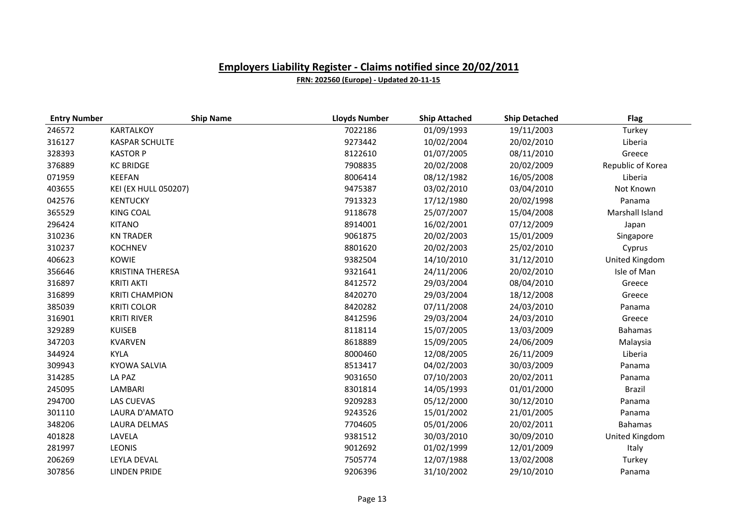| <b>Entry Number</b> | <b>Ship Name</b>            | <b>Lloyds Number</b> | <b>Ship Attached</b> | <b>Ship Detached</b> | <b>Flag</b>       |
|---------------------|-----------------------------|----------------------|----------------------|----------------------|-------------------|
| 246572              | KARTALKOY                   | 7022186              | 01/09/1993           | 19/11/2003           | Turkey            |
| 316127              | <b>KASPAR SCHULTE</b>       | 9273442              | 10/02/2004           | 20/02/2010           | Liberia           |
| 328393              | <b>KASTOR P</b>             | 8122610              | 01/07/2005           | 08/11/2010           | Greece            |
| 376889              | <b>KC BRIDGE</b>            | 7908835              | 20/02/2008           | 20/02/2009           | Republic of Korea |
| 071959              | KEEFAN                      | 8006414              | 08/12/1982           | 16/05/2008           | Liberia           |
| 403655              | <b>KEI (EX HULL 050207)</b> | 9475387              | 03/02/2010           | 03/04/2010           | Not Known         |
| 042576              | <b>KENTUCKY</b>             | 7913323              | 17/12/1980           | 20/02/1998           | Panama            |
| 365529              | <b>KING COAL</b>            | 9118678              | 25/07/2007           | 15/04/2008           | Marshall Island   |
| 296424              | <b>KITANO</b>               | 8914001              | 16/02/2001           | 07/12/2009           | Japan             |
| 310236              | <b>KN TRADER</b>            | 9061875              | 20/02/2003           | 15/01/2009           | Singapore         |
| 310237              | <b>KOCHNEV</b>              | 8801620              | 20/02/2003           | 25/02/2010           | Cyprus            |
| 406623              | <b>KOWIE</b>                | 9382504              | 14/10/2010           | 31/12/2010           | United Kingdom    |
| 356646              | <b>KRISTINA THERESA</b>     | 9321641              | 24/11/2006           | 20/02/2010           | Isle of Man       |
| 316897              | <b>KRITI AKTI</b>           | 8412572              | 29/03/2004           | 08/04/2010           | Greece            |
| 316899              | <b>KRITI CHAMPION</b>       | 8420270              | 29/03/2004           | 18/12/2008           | Greece            |
| 385039              | <b>KRITI COLOR</b>          | 8420282              | 07/11/2008           | 24/03/2010           | Panama            |
| 316901              | <b>KRITI RIVER</b>          | 8412596              | 29/03/2004           | 24/03/2010           | Greece            |
| 329289              | <b>KUISEB</b>               | 8118114              | 15/07/2005           | 13/03/2009           | <b>Bahamas</b>    |
| 347203              | <b>KVARVEN</b>              | 8618889              | 15/09/2005           | 24/06/2009           | Malaysia          |
| 344924              | <b>KYLA</b>                 | 8000460              | 12/08/2005           | 26/11/2009           | Liberia           |
| 309943              | <b>KYOWA SALVIA</b>         | 8513417              | 04/02/2003           | 30/03/2009           | Panama            |
| 314285              | LA PAZ                      | 9031650              | 07/10/2003           | 20/02/2011           | Panama            |
| 245095              | LAMBARI                     | 8301814              | 14/05/1993           | 01/01/2000           | Brazil            |
| 294700              | <b>LAS CUEVAS</b>           | 9209283              | 05/12/2000           | 30/12/2010           | Panama            |
| 301110              | LAURA D'AMATO               | 9243526              | 15/01/2002           | 21/01/2005           | Panama            |
| 348206              | <b>LAURA DELMAS</b>         | 7704605              | 05/01/2006           | 20/02/2011           | <b>Bahamas</b>    |
| 401828              | LAVELA                      | 9381512              | 30/03/2010           | 30/09/2010           | United Kingdom    |
| 281997              | <b>LEONIS</b>               | 9012692              | 01/02/1999           | 12/01/2009           | Italy             |
| 206269              | LEYLA DEVAL                 | 7505774              | 12/07/1988           | 13/02/2008           | Turkey            |
| 307856              | <b>LINDEN PRIDE</b>         | 9206396              | 31/10/2002           | 29/10/2010           | Panama            |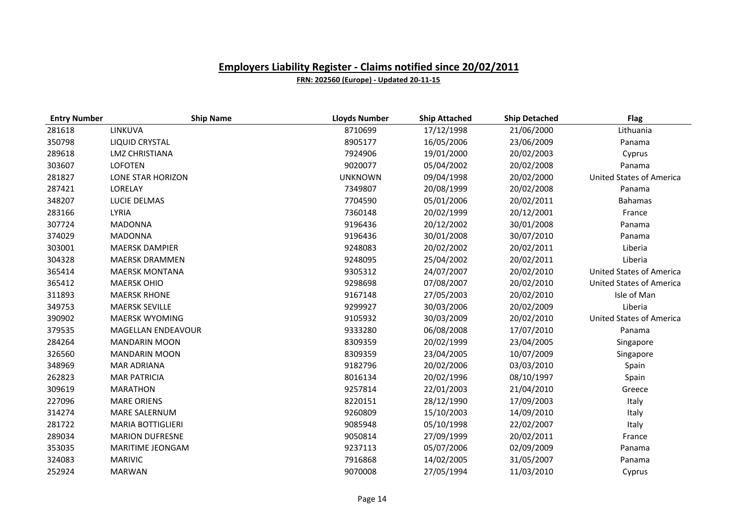| <b>Entry Number</b> | <b>Ship Name</b>         | <b>Lloyds Number</b> | <b>Ship Attached</b> | <b>Ship Detached</b> | <b>Flag</b>                     |
|---------------------|--------------------------|----------------------|----------------------|----------------------|---------------------------------|
| 281618              | LINKUVA                  | 8710699              | 17/12/1998           | 21/06/2000           | Lithuania                       |
| 350798              | <b>LIQUID CRYSTAL</b>    | 8905177              | 16/05/2006           | 23/06/2009           | Panama                          |
| 289618              | <b>LMZ CHRISTIANA</b>    | 7924906              | 19/01/2000           | 20/02/2003           | Cyprus                          |
| 303607              | <b>LOFOTEN</b>           | 9020077              | 05/04/2002           | 20/02/2008           | Panama                          |
| 281827              | <b>LONE STAR HORIZON</b> | <b>UNKNOWN</b>       | 09/04/1998           | 20/02/2000           | <b>United States of America</b> |
| 287421              | LORELAY                  | 7349807              | 20/08/1999           | 20/02/2008           | Panama                          |
| 348207              | <b>LUCIE DELMAS</b>      | 7704590              | 05/01/2006           | 20/02/2011           | <b>Bahamas</b>                  |
| 283166              | <b>LYRIA</b>             | 7360148              | 20/02/1999           | 20/12/2001           | France                          |
| 307724              | <b>MADONNA</b>           | 9196436              | 20/12/2002           | 30/01/2008           | Panama                          |
| 374029              | <b>MADONNA</b>           | 9196436              | 30/01/2008           | 30/07/2010           | Panama                          |
| 303001              | <b>MAERSK DAMPIER</b>    | 9248083              | 20/02/2002           | 20/02/2011           | Liberia                         |
| 304328              | <b>MAERSK DRAMMEN</b>    | 9248095              | 25/04/2002           | 20/02/2011           | Liberia                         |
| 365414              | <b>MAERSK MONTANA</b>    | 9305312              | 24/07/2007           | 20/02/2010           | <b>United States of America</b> |
| 365412              | <b>MAERSK OHIO</b>       | 9298698              | 07/08/2007           | 20/02/2010           | United States of America        |
| 311893              | <b>MAERSK RHONE</b>      | 9167148              | 27/05/2003           | 20/02/2010           | Isle of Man                     |
| 349753              | <b>MAERSK SEVILLE</b>    | 9299927              | 30/03/2006           | 20/02/2009           | Liberia                         |
| 390902              | <b>MAERSK WYOMING</b>    | 9105932              | 30/03/2009           | 20/02/2010           | <b>United States of America</b> |
| 379535              | MAGELLAN ENDEAVOUR       | 9333280              | 06/08/2008           | 17/07/2010           | Panama                          |
| 284264              | <b>MANDARIN MOON</b>     | 8309359              | 20/02/1999           | 23/04/2005           | Singapore                       |
| 326560              | <b>MANDARIN MOON</b>     | 8309359              | 23/04/2005           | 10/07/2009           | Singapore                       |
| 348969              | <b>MAR ADRIANA</b>       | 9182796              | 20/02/2006           | 03/03/2010           | Spain                           |
| 262823              | <b>MAR PATRICIA</b>      | 8016134              | 20/02/1996           | 08/10/1997           | Spain                           |
| 309619              | <b>MARATHON</b>          | 9257814              | 22/01/2003           | 21/04/2010           | Greece                          |
| 227096              | <b>MARE ORIENS</b>       | 8220151              | 28/12/1990           | 17/09/2003           | Italy                           |
| 314274              | <b>MARE SALERNUM</b>     | 9260809              | 15/10/2003           | 14/09/2010           | Italy                           |
| 281722              | <b>MARIA BOTTIGLIERI</b> | 9085948              | 05/10/1998           | 22/02/2007           | Italy                           |
| 289034              | <b>MARION DUFRESNE</b>   | 9050814              | 27/09/1999           | 20/02/2011           | France                          |
| 353035              | MARITIME JEONGAM         | 9237113              | 05/07/2006           | 02/09/2009           | Panama                          |
| 324083              | <b>MARIVIC</b>           | 7916868              | 14/02/2005           | 31/05/2007           | Panama                          |
| 252924              | <b>MARWAN</b>            | 9070008              | 27/05/1994           | 11/03/2010           | Cyprus                          |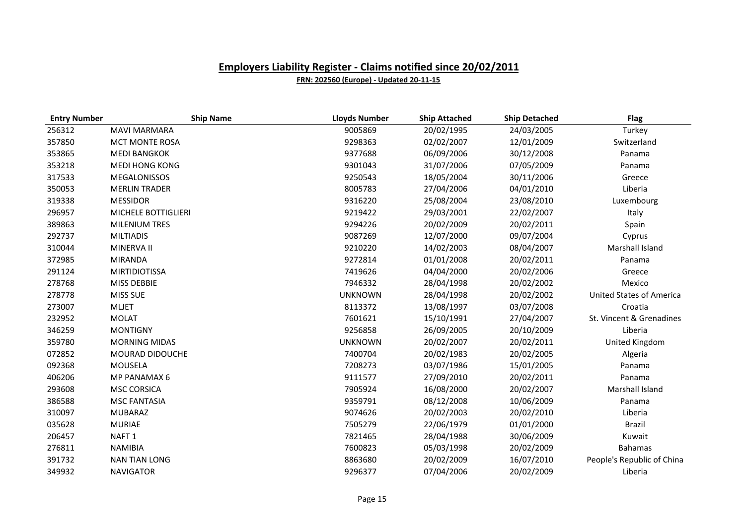| <b>Entry Number</b> | <b>Ship Name</b>      | <b>Lloyds Number</b> | <b>Ship Attached</b> | <b>Ship Detached</b> | <b>Flag</b>                     |
|---------------------|-----------------------|----------------------|----------------------|----------------------|---------------------------------|
| 256312              | <b>MAVI MARMARA</b>   | 9005869              | 20/02/1995           | 24/03/2005           | Turkey                          |
| 357850              | <b>MCT MONTE ROSA</b> | 9298363              | 02/02/2007           | 12/01/2009           | Switzerland                     |
| 353865              | <b>MEDI BANGKOK</b>   | 9377688              | 06/09/2006           | 30/12/2008           | Panama                          |
| 353218              | <b>MEDI HONG KONG</b> | 9301043              | 31/07/2006           | 07/05/2009           | Panama                          |
| 317533              | <b>MEGALONISSOS</b>   | 9250543              | 18/05/2004           | 30/11/2006           | Greece                          |
| 350053              | <b>MERLIN TRADER</b>  | 8005783              | 27/04/2006           | 04/01/2010           | Liberia                         |
| 319338              | <b>MESSIDOR</b>       | 9316220              | 25/08/2004           | 23/08/2010           | Luxembourg                      |
| 296957              | MICHELE BOTTIGLIERI   | 9219422              | 29/03/2001           | 22/02/2007           | Italy                           |
| 389863              | <b>MILENIUM TRES</b>  | 9294226              | 20/02/2009           | 20/02/2011           | Spain                           |
| 292737              | <b>MILTIADIS</b>      | 9087269              | 12/07/2000           | 09/07/2004           | Cyprus                          |
| 310044              | MINERVA II            | 9210220              | 14/02/2003           | 08/04/2007           | Marshall Island                 |
| 372985              | <b>MIRANDA</b>        | 9272814              | 01/01/2008           | 20/02/2011           | Panama                          |
| 291124              | <b>MIRTIDIOTISSA</b>  | 7419626              | 04/04/2000           | 20/02/2006           | Greece                          |
| 278768              | MISS DEBBIE           | 7946332              | 28/04/1998           | 20/02/2002           | Mexico                          |
| 278778              | <b>MISS SUE</b>       | <b>UNKNOWN</b>       | 28/04/1998           | 20/02/2002           | <b>United States of America</b> |
| 273007              | <b>MLJET</b>          | 8113372              | 13/08/1997           | 03/07/2008           | Croatia                         |
| 232952              | <b>MOLAT</b>          | 7601621              | 15/10/1991           | 27/04/2007           | St. Vincent & Grenadines        |
| 346259              | <b>MONTIGNY</b>       | 9256858              | 26/09/2005           | 20/10/2009           | Liberia                         |
| 359780              | <b>MORNING MIDAS</b>  | <b>UNKNOWN</b>       | 20/02/2007           | 20/02/2011           | United Kingdom                  |
| 072852              | MOURAD DIDOUCHE       | 7400704              | 20/02/1983           | 20/02/2005           | Algeria                         |
| 092368              | MOUSELA               | 7208273              | 03/07/1986           | 15/01/2005           | Panama                          |
| 406206              | MP PANAMAX 6          | 9111577              | 27/09/2010           | 20/02/2011           | Panama                          |
| 293608              | <b>MSC CORSICA</b>    | 7905924              | 16/08/2000           | 20/02/2007           | Marshall Island                 |
| 386588              | <b>MSC FANTASIA</b>   | 9359791              | 08/12/2008           | 10/06/2009           | Panama                          |
| 310097              | <b>MUBARAZ</b>        | 9074626              | 20/02/2003           | 20/02/2010           | Liberia                         |
| 035628              | <b>MURIAE</b>         | 7505279              | 22/06/1979           | 01/01/2000           | Brazil                          |
| 206457              | NAFT <sub>1</sub>     | 7821465              | 28/04/1988           | 30/06/2009           | Kuwait                          |
| 276811              | <b>NAMIBIA</b>        | 7600823              | 05/03/1998           | 20/02/2009           | <b>Bahamas</b>                  |
| 391732              | <b>NAN TIAN LONG</b>  | 8863680              | 20/02/2009           | 16/07/2010           | People's Republic of China      |
| 349932              | <b>NAVIGATOR</b>      | 9296377              | 07/04/2006           | 20/02/2009           | Liberia                         |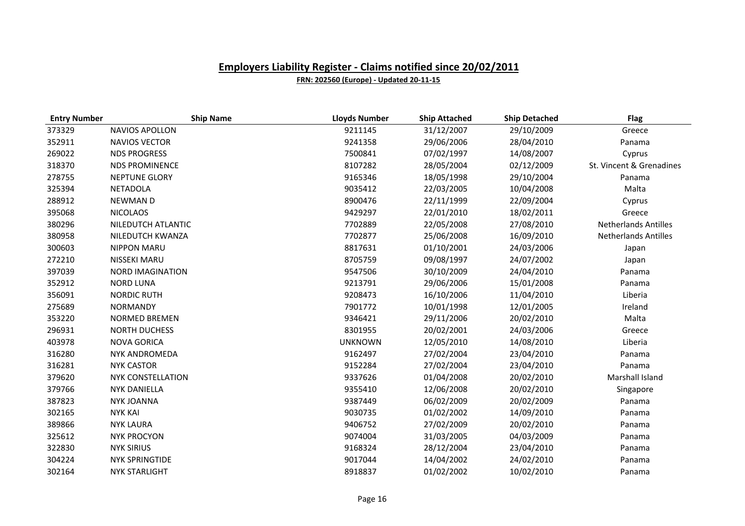| <b>Entry Number</b> | <b>Ship Name</b>         | <b>Lloyds Number</b> | <b>Ship Attached</b> | <b>Ship Detached</b> | <b>Flag</b>                 |
|---------------------|--------------------------|----------------------|----------------------|----------------------|-----------------------------|
| 373329              | NAVIOS APOLLON           | 9211145              | 31/12/2007           | 29/10/2009           | Greece                      |
| 352911              | <b>NAVIOS VECTOR</b>     | 9241358              | 29/06/2006           | 28/04/2010           | Panama                      |
| 269022              | <b>NDS PROGRESS</b>      | 7500841              | 07/02/1997           | 14/08/2007           | Cyprus                      |
| 318370              | <b>NDS PROMINENCE</b>    | 8107282              | 28/05/2004           | 02/12/2009           | St. Vincent & Grenadines    |
| 278755              | <b>NEPTUNE GLORY</b>     | 9165346              | 18/05/1998           | 29/10/2004           | Panama                      |
| 325394              | <b>NETADOLA</b>          | 9035412              | 22/03/2005           | 10/04/2008           | Malta                       |
| 288912              | <b>NEWMAND</b>           | 8900476              | 22/11/1999           | 22/09/2004           | Cyprus                      |
| 395068              | <b>NICOLAOS</b>          | 9429297              | 22/01/2010           | 18/02/2011           | Greece                      |
| 380296              | NILEDUTCH ATLANTIC       | 7702889              | 22/05/2008           | 27/08/2010           | <b>Netherlands Antilles</b> |
| 380958              | NILEDUTCH KWANZA         | 7702877              | 25/06/2008           | 16/09/2010           | <b>Netherlands Antilles</b> |
| 300603              | <b>NIPPON MARU</b>       | 8817631              | 01/10/2001           | 24/03/2006           | Japan                       |
| 272210              | NISSEKI MARU             | 8705759              | 09/08/1997           | 24/07/2002           | Japan                       |
| 397039              | <b>NORD IMAGINATION</b>  | 9547506              | 30/10/2009           | 24/04/2010           | Panama                      |
| 352912              | <b>NORD LUNA</b>         | 9213791              | 29/06/2006           | 15/01/2008           | Panama                      |
| 356091              | <b>NORDIC RUTH</b>       | 9208473              | 16/10/2006           | 11/04/2010           | Liberia                     |
| 275689              | <b>NORMANDY</b>          | 7901772              | 10/01/1998           | 12/01/2005           | Ireland                     |
| 353220              | <b>NORMED BREMEN</b>     | 9346421              | 29/11/2006           | 20/02/2010           | Malta                       |
| 296931              | <b>NORTH DUCHESS</b>     | 8301955              | 20/02/2001           | 24/03/2006           | Greece                      |
| 403978              | <b>NOVA GORICA</b>       | <b>UNKNOWN</b>       | 12/05/2010           | 14/08/2010           | Liberia                     |
| 316280              | NYK ANDROMEDA            | 9162497              | 27/02/2004           | 23/04/2010           | Panama                      |
| 316281              | <b>NYK CASTOR</b>        | 9152284              | 27/02/2004           | 23/04/2010           | Panama                      |
| 379620              | <b>NYK CONSTELLATION</b> | 9337626              | 01/04/2008           | 20/02/2010           | Marshall Island             |
| 379766              | <b>NYK DANIELLA</b>      | 9355410              | 12/06/2008           | 20/02/2010           | Singapore                   |
| 387823              | <b>NYK JOANNA</b>        | 9387449              | 06/02/2009           | 20/02/2009           | Panama                      |
| 302165              | <b>NYK KAI</b>           | 9030735              | 01/02/2002           | 14/09/2010           | Panama                      |
| 389866              | <b>NYK LAURA</b>         | 9406752              | 27/02/2009           | 20/02/2010           | Panama                      |
| 325612              | <b>NYK PROCYON</b>       | 9074004              | 31/03/2005           | 04/03/2009           | Panama                      |
| 322830              | <b>NYK SIRIUS</b>        | 9168324              | 28/12/2004           | 23/04/2010           | Panama                      |
| 304224              | <b>NYK SPRINGTIDE</b>    | 9017044              | 14/04/2002           | 24/02/2010           | Panama                      |
| 302164              | <b>NYK STARLIGHT</b>     | 8918837              | 01/02/2002           | 10/02/2010           | Panama                      |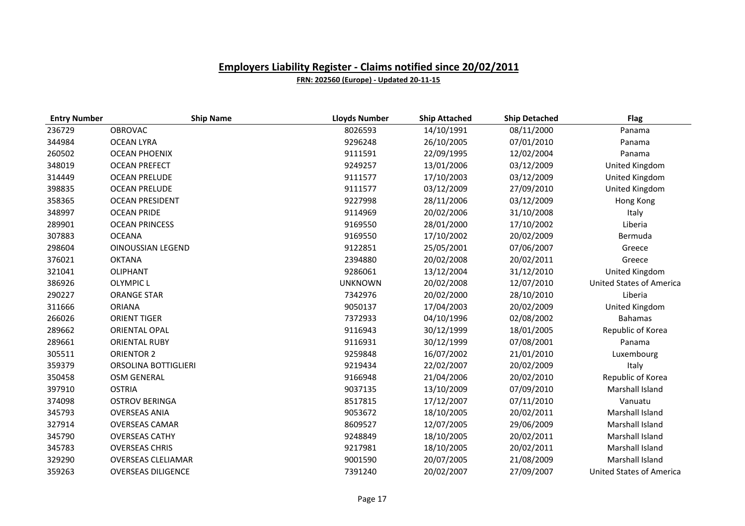| <b>Entry Number</b> | <b>Ship Name</b>          | <b>Lloyds Number</b> | <b>Ship Attached</b> | <b>Ship Detached</b> | <b>Flag</b>                     |
|---------------------|---------------------------|----------------------|----------------------|----------------------|---------------------------------|
| 236729              | <b>OBROVAC</b>            | 8026593              | 14/10/1991           | 08/11/2000           | Panama                          |
| 344984              | <b>OCEAN LYRA</b>         | 9296248              | 26/10/2005           | 07/01/2010           | Panama                          |
| 260502              | <b>OCEAN PHOENIX</b>      | 9111591              | 22/09/1995           | 12/02/2004           | Panama                          |
| 348019              | <b>OCEAN PREFECT</b>      | 9249257              | 13/01/2006           | 03/12/2009           | United Kingdom                  |
| 314449              | <b>OCEAN PRELUDE</b>      | 9111577              | 17/10/2003           | 03/12/2009           | United Kingdom                  |
| 398835              | <b>OCEAN PRELUDE</b>      | 9111577              | 03/12/2009           | 27/09/2010           | United Kingdom                  |
| 358365              | <b>OCEAN PRESIDENT</b>    | 9227998              | 28/11/2006           | 03/12/2009           | Hong Kong                       |
| 348997              | <b>OCEAN PRIDE</b>        | 9114969              | 20/02/2006           | 31/10/2008           | Italy                           |
| 289901              | <b>OCEAN PRINCESS</b>     | 9169550              | 28/01/2000           | 17/10/2002           | Liberia                         |
| 307883              | <b>OCEANA</b>             | 9169550              | 17/10/2002           | 20/02/2009           | Bermuda                         |
| 298604              | <b>OINOUSSIAN LEGEND</b>  | 9122851              | 25/05/2001           | 07/06/2007           | Greece                          |
| 376021              | <b>OKTANA</b>             | 2394880              | 20/02/2008           | 20/02/2011           | Greece                          |
| 321041              | <b>OLIPHANT</b>           | 9286061              | 13/12/2004           | 31/12/2010           | United Kingdom                  |
| 386926              | <b>OLYMPIC L</b>          | <b>UNKNOWN</b>       | 20/02/2008           | 12/07/2010           | <b>United States of America</b> |
| 290227              | <b>ORANGE STAR</b>        | 7342976              | 20/02/2000           | 28/10/2010           | Liberia                         |
| 311666              | <b>ORIANA</b>             | 9050137              | 17/04/2003           | 20/02/2009           | United Kingdom                  |
| 266026              | <b>ORIENT TIGER</b>       | 7372933              | 04/10/1996           | 02/08/2002           | <b>Bahamas</b>                  |
| 289662              | <b>ORIENTAL OPAL</b>      | 9116943              | 30/12/1999           | 18/01/2005           | Republic of Korea               |
| 289661              | <b>ORIENTAL RUBY</b>      | 9116931              | 30/12/1999           | 07/08/2001           | Panama                          |
| 305511              | <b>ORIENTOR 2</b>         | 9259848              | 16/07/2002           | 21/01/2010           | Luxembourg                      |
| 359379              | ORSOLINA BOTTIGLIERI      | 9219434              | 22/02/2007           | 20/02/2009           | Italy                           |
| 350458              | <b>OSM GENERAL</b>        | 9166948              | 21/04/2006           | 20/02/2010           | Republic of Korea               |
| 397910              | <b>OSTRIA</b>             | 9037135              | 13/10/2009           | 07/09/2010           | Marshall Island                 |
| 374098              | <b>OSTROV BERINGA</b>     | 8517815              | 17/12/2007           | 07/11/2010           | Vanuatu                         |
| 345793              | <b>OVERSEAS ANIA</b>      | 9053672              | 18/10/2005           | 20/02/2011           | Marshall Island                 |
| 327914              | <b>OVERSEAS CAMAR</b>     | 8609527              | 12/07/2005           | 29/06/2009           | Marshall Island                 |
| 345790              | <b>OVERSEAS CATHY</b>     | 9248849              | 18/10/2005           | 20/02/2011           | Marshall Island                 |
| 345783              | <b>OVERSEAS CHRIS</b>     | 9217981              | 18/10/2005           | 20/02/2011           | Marshall Island                 |
| 329290              | <b>OVERSEAS CLELIAMAR</b> | 9001590              | 20/07/2005           | 21/08/2009           | Marshall Island                 |
| 359263              | <b>OVERSEAS DILIGENCE</b> | 7391240              | 20/02/2007           | 27/09/2007           | <b>United States of America</b> |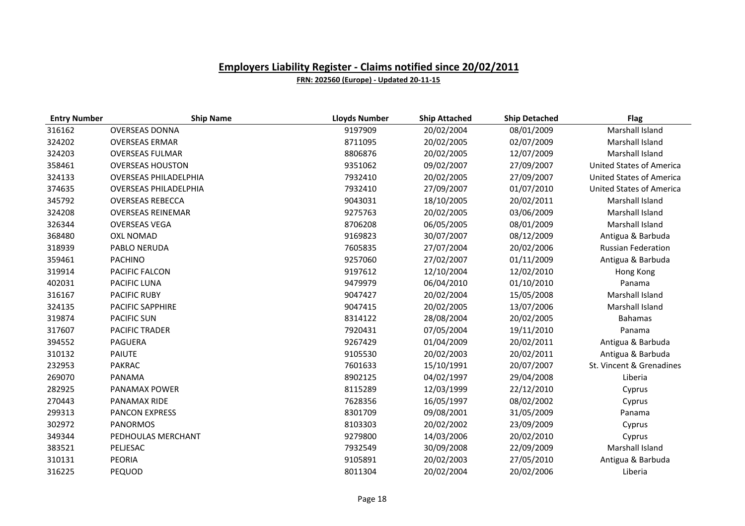| <b>Entry Number</b> | <b>Ship Name</b>             | <b>Lloyds Number</b> | <b>Ship Attached</b> | <b>Ship Detached</b> | <b>Flag</b>                     |
|---------------------|------------------------------|----------------------|----------------------|----------------------|---------------------------------|
| 316162              | <b>OVERSEAS DONNA</b>        | 9197909              | 20/02/2004           | 08/01/2009           | Marshall Island                 |
| 324202              | <b>OVERSEAS ERMAR</b>        | 8711095              | 20/02/2005           | 02/07/2009           | Marshall Island                 |
| 324203              | <b>OVERSEAS FULMAR</b>       | 8806876              | 20/02/2005           | 12/07/2009           | Marshall Island                 |
| 358461              | <b>OVERSEAS HOUSTON</b>      | 9351062              | 09/02/2007           | 27/09/2007           | <b>United States of America</b> |
| 324133              | <b>OVERSEAS PHILADELPHIA</b> | 7932410              | 20/02/2005           | 27/09/2007           | <b>United States of America</b> |
| 374635              | <b>OVERSEAS PHILADELPHIA</b> | 7932410              | 27/09/2007           | 01/07/2010           | <b>United States of America</b> |
| 345792              | <b>OVERSEAS REBECCA</b>      | 9043031              | 18/10/2005           | 20/02/2011           | Marshall Island                 |
| 324208              | <b>OVERSEAS REINEMAR</b>     | 9275763              | 20/02/2005           | 03/06/2009           | Marshall Island                 |
| 326344              | <b>OVERSEAS VEGA</b>         | 8706208              | 06/05/2005           | 08/01/2009           | Marshall Island                 |
| 368480              | <b>OXL NOMAD</b>             | 9169823              | 30/07/2007           | 08/12/2009           | Antigua & Barbuda               |
| 318939              | PABLO NERUDA                 | 7605835              | 27/07/2004           | 20/02/2006           | <b>Russian Federation</b>       |
| 359461              | PACHINO                      | 9257060              | 27/02/2007           | 01/11/2009           | Antigua & Barbuda               |
| 319914              | PACIFIC FALCON               | 9197612              | 12/10/2004           | 12/02/2010           | Hong Kong                       |
| 402031              | PACIFIC LUNA                 | 9479979              | 06/04/2010           | 01/10/2010           | Panama                          |
| 316167              | <b>PACIFIC RUBY</b>          | 9047427              | 20/02/2004           | 15/05/2008           | Marshall Island                 |
| 324135              | <b>PACIFIC SAPPHIRE</b>      | 9047415              | 20/02/2005           | 13/07/2006           | Marshall Island                 |
| 319874              | <b>PACIFIC SUN</b>           | 8314122              | 28/08/2004           | 20/02/2005           | <b>Bahamas</b>                  |
| 317607              | <b>PACIFIC TRADER</b>        | 7920431              | 07/05/2004           | 19/11/2010           | Panama                          |
| 394552              | <b>PAGUERA</b>               | 9267429              | 01/04/2009           | 20/02/2011           | Antigua & Barbuda               |
| 310132              | <b>PAIUTE</b>                | 9105530              | 20/02/2003           | 20/02/2011           | Antigua & Barbuda               |
| 232953              | <b>PAKRAC</b>                | 7601633              | 15/10/1991           | 20/07/2007           | St. Vincent & Grenadines        |
| 269070              | PANAMA                       | 8902125              | 04/02/1997           | 29/04/2008           | Liberia                         |
| 282925              | PANAMAX POWER                | 8115289              | 12/03/1999           | 22/12/2010           | Cyprus                          |
| 270443              | <b>PANAMAX RIDE</b>          | 7628356              | 16/05/1997           | 08/02/2002           | Cyprus                          |
| 299313              | PANCON EXPRESS               | 8301709              | 09/08/2001           | 31/05/2009           | Panama                          |
| 302972              | <b>PANORMOS</b>              | 8103303              | 20/02/2002           | 23/09/2009           | Cyprus                          |
| 349344              | PEDHOULAS MERCHANT           | 9279800              | 14/03/2006           | 20/02/2010           | Cyprus                          |
| 383521              | PELJESAC                     | 7932549              | 30/09/2008           | 22/09/2009           | Marshall Island                 |
| 310131              | <b>PEORIA</b>                | 9105891              | 20/02/2003           | 27/05/2010           | Antigua & Barbuda               |
| 316225              | PEQUOD                       | 8011304              | 20/02/2004           | 20/02/2006           | Liberia                         |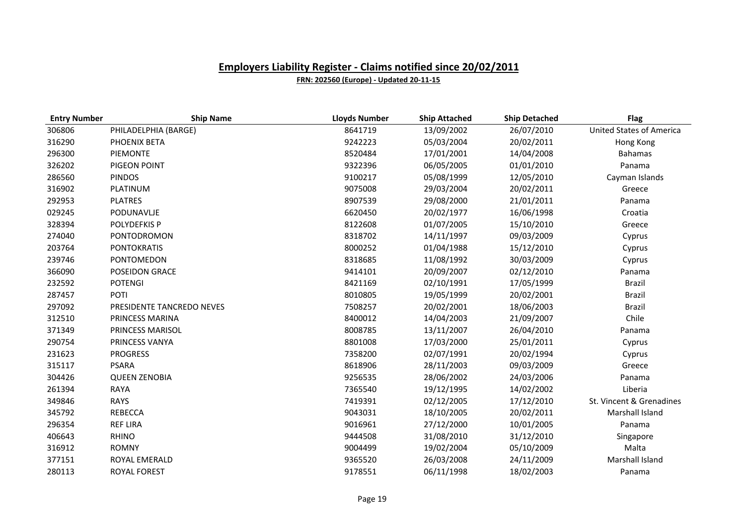| <b>Entry Number</b> | <b>Ship Name</b>          | <b>Lloyds Number</b> | <b>Ship Attached</b> | <b>Ship Detached</b> | <b>Flag</b>                     |
|---------------------|---------------------------|----------------------|----------------------|----------------------|---------------------------------|
| 306806              | PHILADELPHIA (BARGE)      | 8641719              | 13/09/2002           | 26/07/2010           | <b>United States of America</b> |
| 316290              | PHOENIX BETA              | 9242223              | 05/03/2004           | 20/02/2011           | Hong Kong                       |
| 296300              | PIEMONTE                  | 8520484              | 17/01/2001           | 14/04/2008           | <b>Bahamas</b>                  |
| 326202              | PIGEON POINT              | 9322396              | 06/05/2005           | 01/01/2010           | Panama                          |
| 286560              | <b>PINDOS</b>             | 9100217              | 05/08/1999           | 12/05/2010           | Cayman Islands                  |
| 316902              | PLATINUM                  | 9075008              | 29/03/2004           | 20/02/2011           | Greece                          |
| 292953              | <b>PLATRES</b>            | 8907539              | 29/08/2000           | 21/01/2011           | Panama                          |
| 029245              | PODUNAVLJE                | 6620450              | 20/02/1977           | 16/06/1998           | Croatia                         |
| 328394              | POLYDEFKIS P              | 8122608              | 01/07/2005           | 15/10/2010           | Greece                          |
| 274040              | PONTODROMON               | 8318702              | 14/11/1997           | 09/03/2009           | Cyprus                          |
| 203764              | <b>PONTOKRATIS</b>        | 8000252              | 01/04/1988           | 15/12/2010           | Cyprus                          |
| 239746              | PONTOMEDON                | 8318685              | 11/08/1992           | 30/03/2009           | Cyprus                          |
| 366090              | POSEIDON GRACE            | 9414101              | 20/09/2007           | 02/12/2010           | Panama                          |
| 232592              | <b>POTENGI</b>            | 8421169              | 02/10/1991           | 17/05/1999           | Brazil                          |
| 287457              | POTI                      | 8010805              | 19/05/1999           | 20/02/2001           | <b>Brazil</b>                   |
| 297092              | PRESIDENTE TANCREDO NEVES | 7508257              | 20/02/2001           | 18/06/2003           | <b>Brazil</b>                   |
| 312510              | PRINCESS MARINA           | 8400012              | 14/04/2003           | 21/09/2007           | Chile                           |
| 371349              | PRINCESS MARISOL          | 8008785              | 13/11/2007           | 26/04/2010           | Panama                          |
| 290754              | PRINCESS VANYA            | 8801008              | 17/03/2000           | 25/01/2011           | Cyprus                          |
| 231623              | <b>PROGRESS</b>           | 7358200              | 02/07/1991           | 20/02/1994           | Cyprus                          |
| 315117              | <b>PSARA</b>              | 8618906              | 28/11/2003           | 09/03/2009           | Greece                          |
| 304426              | <b>QUEEN ZENOBIA</b>      | 9256535              | 28/06/2002           | 24/03/2006           | Panama                          |
| 261394              | <b>RAYA</b>               | 7365540              | 19/12/1995           | 14/02/2002           | Liberia                         |
| 349846              | <b>RAYS</b>               | 7419391              | 02/12/2005           | 17/12/2010           | St. Vincent & Grenadines        |
| 345792              | <b>REBECCA</b>            | 9043031              | 18/10/2005           | 20/02/2011           | Marshall Island                 |
| 296354              | <b>REF LIRA</b>           | 9016961              | 27/12/2000           | 10/01/2005           | Panama                          |
| 406643              | <b>RHINO</b>              | 9444508              | 31/08/2010           | 31/12/2010           | Singapore                       |
| 316912              | <b>ROMNY</b>              | 9004499              | 19/02/2004           | 05/10/2009           | Malta                           |
| 377151              | ROYAL EMERALD             | 9365520              | 26/03/2008           | 24/11/2009           | Marshall Island                 |
| 280113              | ROYAL FOREST              | 9178551              | 06/11/1998           | 18/02/2003           | Panama                          |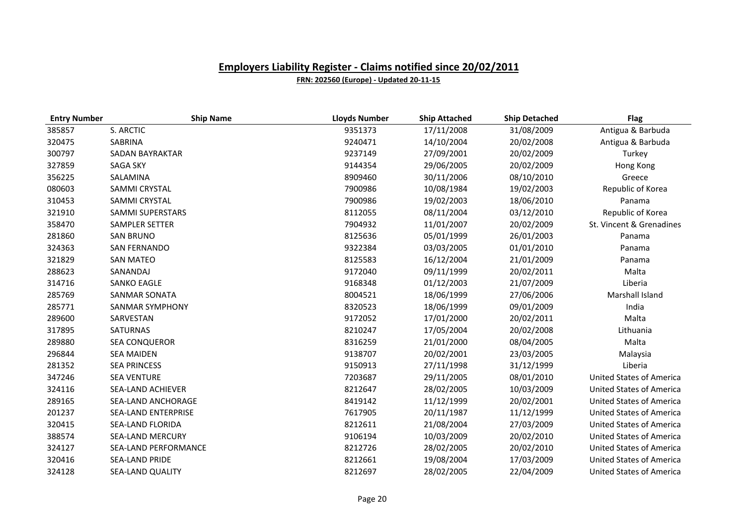| <b>Entry Number</b> | <b>Ship Name</b>            | <b>Lloyds Number</b> | <b>Ship Attached</b> | <b>Ship Detached</b> | <b>Flag</b>                     |
|---------------------|-----------------------------|----------------------|----------------------|----------------------|---------------------------------|
| 385857              | S. ARCTIC                   | 9351373              | 17/11/2008           | 31/08/2009           | Antigua & Barbuda               |
| 320475              | <b>SABRINA</b>              | 9240471              | 14/10/2004           | 20/02/2008           | Antigua & Barbuda               |
| 300797              | <b>SADAN BAYRAKTAR</b>      | 9237149              | 27/09/2001           | 20/02/2009           | Turkey                          |
| 327859              | <b>SAGA SKY</b>             | 9144354              | 29/06/2005           | 20/02/2009           | Hong Kong                       |
| 356225              | SALAMINA                    | 8909460              | 30/11/2006           | 08/10/2010           | Greece                          |
| 080603              | SAMMI CRYSTAL               | 7900986              | 10/08/1984           | 19/02/2003           | Republic of Korea               |
| 310453              | SAMMI CRYSTAL               | 7900986              | 19/02/2003           | 18/06/2010           | Panama                          |
| 321910              | <b>SAMMI SUPERSTARS</b>     | 8112055              | 08/11/2004           | 03/12/2010           | Republic of Korea               |
| 358470              | <b>SAMPLER SETTER</b>       | 7904932              | 11/01/2007           | 20/02/2009           | St. Vincent & Grenadines        |
| 281860              | <b>SAN BRUNO</b>            | 8125636              | 05/01/1999           | 26/01/2003           | Panama                          |
| 324363              | <b>SAN FERNANDO</b>         | 9322384              | 03/03/2005           | 01/01/2010           | Panama                          |
| 321829              | <b>SAN MATEO</b>            | 8125583              | 16/12/2004           | 21/01/2009           | Panama                          |
| 288623              | SANANDAJ                    | 9172040              | 09/11/1999           | 20/02/2011           | Malta                           |
| 314716              | <b>SANKO EAGLE</b>          | 9168348              | 01/12/2003           | 21/07/2009           | Liberia                         |
| 285769              | <b>SANMAR SONATA</b>        | 8004521              | 18/06/1999           | 27/06/2006           | Marshall Island                 |
| 285771              | <b>SANMAR SYMPHONY</b>      | 8320523              | 18/06/1999           | 09/01/2009           | India                           |
| 289600              | SARVESTAN                   | 9172052              | 17/01/2000           | 20/02/2011           | Malta                           |
| 317895              | SATURNAS                    | 8210247              | 17/05/2004           | 20/02/2008           | Lithuania                       |
| 289880              | <b>SEA CONQUEROR</b>        | 8316259              | 21/01/2000           | 08/04/2005           | Malta                           |
| 296844              | <b>SEA MAIDEN</b>           | 9138707              | 20/02/2001           | 23/03/2005           | Malaysia                        |
| 281352              | <b>SEA PRINCESS</b>         | 9150913              | 27/11/1998           | 31/12/1999           | Liberia                         |
| 347246              | <b>SEA VENTURE</b>          | 7203687              | 29/11/2005           | 08/01/2010           | <b>United States of America</b> |
| 324116              | SEA-LAND ACHIEVER           | 8212647              | 28/02/2005           | 10/03/2009           | <b>United States of America</b> |
| 289165              | SEA-LAND ANCHORAGE          | 8419142              | 11/12/1999           | 20/02/2001           | <b>United States of America</b> |
| 201237              | <b>SEA-LAND ENTERPRISE</b>  | 7617905              | 20/11/1987           | 11/12/1999           | <b>United States of America</b> |
| 320415              | SEA-LAND FLORIDA            | 8212611              | 21/08/2004           | 27/03/2009           | <b>United States of America</b> |
| 388574              | <b>SEA-LAND MERCURY</b>     | 9106194              | 10/03/2009           | 20/02/2010           | <b>United States of America</b> |
| 324127              | <b>SEA-LAND PERFORMANCE</b> | 8212726              | 28/02/2005           | 20/02/2010           | <b>United States of America</b> |
| 320416              | SEA-LAND PRIDE              | 8212661              | 19/08/2004           | 17/03/2009           | <b>United States of America</b> |
| 324128              | <b>SEA-LAND QUALITY</b>     | 8212697              | 28/02/2005           | 22/04/2009           | <b>United States of America</b> |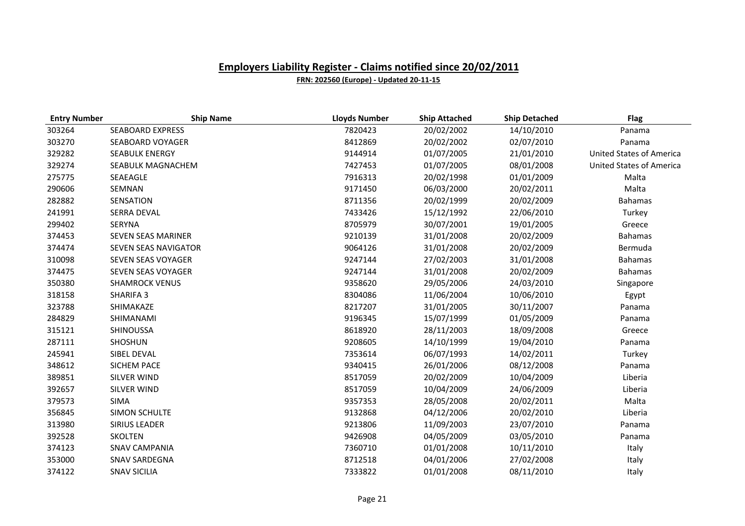| <b>Entry Number</b> | <b>Ship Name</b>          | <b>Lloyds Number</b> | <b>Ship Attached</b> | <b>Ship Detached</b> | <b>Flag</b>                     |
|---------------------|---------------------------|----------------------|----------------------|----------------------|---------------------------------|
| 303264              | <b>SEABOARD EXPRESS</b>   | 7820423              | 20/02/2002           | 14/10/2010           | Panama                          |
| 303270              | SEABOARD VOYAGER          | 8412869              | 20/02/2002           | 02/07/2010           | Panama                          |
| 329282              | <b>SEABULK ENERGY</b>     | 9144914              | 01/07/2005           | 21/01/2010           | <b>United States of America</b> |
| 329274              | SEABULK MAGNACHEM         | 7427453              | 01/07/2005           | 08/01/2008           | <b>United States of America</b> |
| 275775              | SEAEAGLE                  | 7916313              | 20/02/1998           | 01/01/2009           | Malta                           |
| 290606              | SEMNAN                    | 9171450              | 06/03/2000           | 20/02/2011           | Malta                           |
| 282882              | SENSATION                 | 8711356              | 20/02/1999           | 20/02/2009           | <b>Bahamas</b>                  |
| 241991              | <b>SERRA DEVAL</b>        | 7433426              | 15/12/1992           | 22/06/2010           | Turkey                          |
| 299402              | <b>SERYNA</b>             | 8705979              | 30/07/2001           | 19/01/2005           | Greece                          |
| 374453              | <b>SEVEN SEAS MARINER</b> | 9210139              | 31/01/2008           | 20/02/2009           | <b>Bahamas</b>                  |
| 374474              | SEVEN SEAS NAVIGATOR      | 9064126              | 31/01/2008           | 20/02/2009           | Bermuda                         |
| 310098              | SEVEN SEAS VOYAGER        | 9247144              | 27/02/2003           | 31/01/2008           | <b>Bahamas</b>                  |
| 374475              | SEVEN SEAS VOYAGER        | 9247144              | 31/01/2008           | 20/02/2009           | <b>Bahamas</b>                  |
| 350380              | <b>SHAMROCK VENUS</b>     | 9358620              | 29/05/2006           | 24/03/2010           | Singapore                       |
| 318158              | SHARIFA 3                 | 8304086              | 11/06/2004           | 10/06/2010           | Egypt                           |
| 323788              | SHIMAKAZE                 | 8217207              | 31/01/2005           | 30/11/2007           | Panama                          |
| 284829              | SHIMANAMI                 | 9196345              | 15/07/1999           | 01/05/2009           | Panama                          |
| 315121              | SHINOUSSA                 | 8618920              | 28/11/2003           | 18/09/2008           | Greece                          |
| 287111              | SHOSHUN                   | 9208605              | 14/10/1999           | 19/04/2010           | Panama                          |
| 245941              | SIBEL DEVAL               | 7353614              | 06/07/1993           | 14/02/2011           | Turkey                          |
| 348612              | <b>SICHEM PACE</b>        | 9340415              | 26/01/2006           | 08/12/2008           | Panama                          |
| 389851              | <b>SILVER WIND</b>        | 8517059              | 20/02/2009           | 10/04/2009           | Liberia                         |
| 392657              | <b>SILVER WIND</b>        | 8517059              | 10/04/2009           | 24/06/2009           | Liberia                         |
| 379573              | <b>SIMA</b>               | 9357353              | 28/05/2008           | 20/02/2011           | Malta                           |
| 356845              | SIMON SCHULTE             | 9132868              | 04/12/2006           | 20/02/2010           | Liberia                         |
| 313980              | <b>SIRIUS LEADER</b>      | 9213806              | 11/09/2003           | 23/07/2010           | Panama                          |
| 392528              | <b>SKOLTEN</b>            | 9426908              | 04/05/2009           | 03/05/2010           | Panama                          |
| 374123              | <b>SNAV CAMPANIA</b>      | 7360710              | 01/01/2008           | 10/11/2010           | Italy                           |
| 353000              | <b>SNAV SARDEGNA</b>      | 8712518              | 04/01/2006           | 27/02/2008           | Italy                           |
| 374122              | <b>SNAV SICILIA</b>       | 7333822              | 01/01/2008           | 08/11/2010           | Italy                           |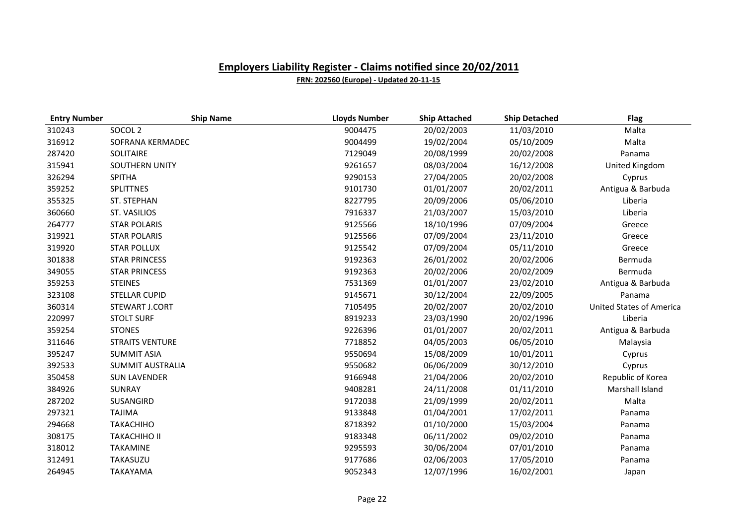| <b>Entry Number</b> | <b>Ship Name</b>        | <b>Lloyds Number</b> | <b>Ship Attached</b> | <b>Ship Detached</b> | <b>Flag</b>                     |
|---------------------|-------------------------|----------------------|----------------------|----------------------|---------------------------------|
| 310243              | SOCOL <sub>2</sub>      | 9004475              | 20/02/2003           | 11/03/2010           | Malta                           |
| 316912              | SOFRANA KERMADEC        | 9004499              | 19/02/2004           | 05/10/2009           | Malta                           |
| 287420              | SOLITAIRE               | 7129049              | 20/08/1999           | 20/02/2008           | Panama                          |
| 315941              | <b>SOUTHERN UNITY</b>   | 9261657              | 08/03/2004           | 16/12/2008           | United Kingdom                  |
| 326294              | <b>SPITHA</b>           | 9290153              | 27/04/2005           | 20/02/2008           | Cyprus                          |
| 359252              | <b>SPLITTNES</b>        | 9101730              | 01/01/2007           | 20/02/2011           | Antigua & Barbuda               |
| 355325              | ST. STEPHAN             | 8227795              | 20/09/2006           | 05/06/2010           | Liberia                         |
| 360660              | ST. VASILIOS            | 7916337              | 21/03/2007           | 15/03/2010           | Liberia                         |
| 264777              | <b>STAR POLARIS</b>     | 9125566              | 18/10/1996           | 07/09/2004           | Greece                          |
| 319921              | <b>STAR POLARIS</b>     | 9125566              | 07/09/2004           | 23/11/2010           | Greece                          |
| 319920              | <b>STAR POLLUX</b>      | 9125542              | 07/09/2004           | 05/11/2010           | Greece                          |
| 301838              | <b>STAR PRINCESS</b>    | 9192363              | 26/01/2002           | 20/02/2006           | Bermuda                         |
| 349055              | <b>STAR PRINCESS</b>    | 9192363              | 20/02/2006           | 20/02/2009           | Bermuda                         |
| 359253              | <b>STEINES</b>          | 7531369              | 01/01/2007           | 23/02/2010           | Antigua & Barbuda               |
| 323108              | <b>STELLAR CUPID</b>    | 9145671              | 30/12/2004           | 22/09/2005           | Panama                          |
| 360314              | STEWART J.CORT          | 7105495              | 20/02/2007           | 20/02/2010           | <b>United States of America</b> |
| 220997              | <b>STOLT SURF</b>       | 8919233              | 23/03/1990           | 20/02/1996           | Liberia                         |
| 359254              | <b>STONES</b>           | 9226396              | 01/01/2007           | 20/02/2011           | Antigua & Barbuda               |
| 311646              | <b>STRAITS VENTURE</b>  | 7718852              | 04/05/2003           | 06/05/2010           | Malaysia                        |
| 395247              | <b>SUMMIT ASIA</b>      | 9550694              | 15/08/2009           | 10/01/2011           | Cyprus                          |
| 392533              | <b>SUMMIT AUSTRALIA</b> | 9550682              | 06/06/2009           | 30/12/2010           | Cyprus                          |
| 350458              | <b>SUN LAVENDER</b>     | 9166948              | 21/04/2006           | 20/02/2010           | Republic of Korea               |
| 384926              | SUNRAY                  | 9408281              | 24/11/2008           | 01/11/2010           | Marshall Island                 |
| 287202              | SUSANGIRD               | 9172038              | 21/09/1999           | 20/02/2011           | Malta                           |
| 297321              | <b>TAJIMA</b>           | 9133848              | 01/04/2001           | 17/02/2011           | Panama                          |
| 294668              | <b>TAKACHIHO</b>        | 8718392              | 01/10/2000           | 15/03/2004           | Panama                          |
| 308175              | <b>TAKACHIHO II</b>     | 9183348              | 06/11/2002           | 09/02/2010           | Panama                          |
| 318012              | <b>TAKAMINE</b>         | 9295593              | 30/06/2004           | 07/01/2010           | Panama                          |
| 312491              | TAKASUZU                | 9177686              | 02/06/2003           | 17/05/2010           | Panama                          |
| 264945              | <b>TAKAYAMA</b>         | 9052343              | 12/07/1996           | 16/02/2001           | Japan                           |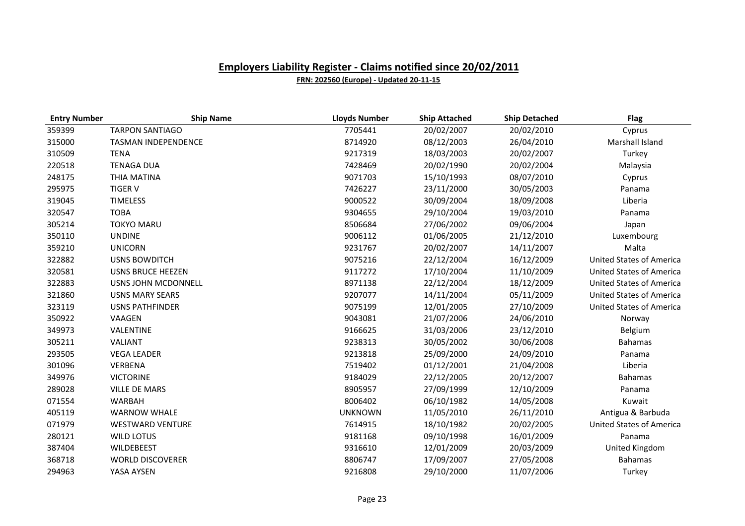| <b>Entry Number</b> | <b>Ship Name</b>         | <b>Lloyds Number</b> | <b>Ship Attached</b> | <b>Ship Detached</b> | <b>Flag</b>                     |
|---------------------|--------------------------|----------------------|----------------------|----------------------|---------------------------------|
| 359399              | <b>TARPON SANTIAGO</b>   | 7705441              | 20/02/2007           | 20/02/2010           | Cyprus                          |
| 315000              | TASMAN INDEPENDENCE      | 8714920              | 08/12/2003           | 26/04/2010           | Marshall Island                 |
| 310509              | <b>TENA</b>              | 9217319              | 18/03/2003           | 20/02/2007           | Turkey                          |
| 220518              | <b>TENAGA DUA</b>        | 7428469              | 20/02/1990           | 20/02/2004           | Malaysia                        |
| 248175              | THIA MATINA              | 9071703              | 15/10/1993           | 08/07/2010           | Cyprus                          |
| 295975              | <b>TIGER V</b>           | 7426227              | 23/11/2000           | 30/05/2003           | Panama                          |
| 319045              | <b>TIMELESS</b>          | 9000522              | 30/09/2004           | 18/09/2008           | Liberia                         |
| 320547              | <b>TOBA</b>              | 9304655              | 29/10/2004           | 19/03/2010           | Panama                          |
| 305214              | <b>TOKYO MARU</b>        | 8506684              | 27/06/2002           | 09/06/2004           | Japan                           |
| 350110              | <b>UNDINE</b>            | 9006112              | 01/06/2005           | 21/12/2010           | Luxembourg                      |
| 359210              | <b>UNICORN</b>           | 9231767              | 20/02/2007           | 14/11/2007           | Malta                           |
| 322882              | <b>USNS BOWDITCH</b>     | 9075216              | 22/12/2004           | 16/12/2009           | <b>United States of America</b> |
| 320581              | <b>USNS BRUCE HEEZEN</b> | 9117272              | 17/10/2004           | 11/10/2009           | United States of America        |
| 322883              | USNS JOHN MCDONNELL      | 8971138              | 22/12/2004           | 18/12/2009           | <b>United States of America</b> |
| 321860              | <b>USNS MARY SEARS</b>   | 9207077              | 14/11/2004           | 05/11/2009           | <b>United States of America</b> |
| 323119              | <b>USNS PATHFINDER</b>   | 9075199              | 12/01/2005           | 27/10/2009           | <b>United States of America</b> |
| 350922              | VAAGEN                   | 9043081              | 21/07/2006           | 24/06/2010           | Norway                          |
| 349973              | VALENTINE                | 9166625              | 31/03/2006           | 23/12/2010           | Belgium                         |
| 305211              | <b>VALIANT</b>           | 9238313              | 30/05/2002           | 30/06/2008           | <b>Bahamas</b>                  |
| 293505              | <b>VEGA LEADER</b>       | 9213818              | 25/09/2000           | 24/09/2010           | Panama                          |
| 301096              | VERBENA                  | 7519402              | 01/12/2001           | 21/04/2008           | Liberia                         |
| 349976              | <b>VICTORINE</b>         | 9184029              | 22/12/2005           | 20/12/2007           | <b>Bahamas</b>                  |
| 289028              | <b>VILLE DE MARS</b>     | 8905957              | 27/09/1999           | 12/10/2009           | Panama                          |
| 071554              | <b>WARBAH</b>            | 8006402              | 06/10/1982           | 14/05/2008           | Kuwait                          |
| 405119              | <b>WARNOW WHALE</b>      | <b>UNKNOWN</b>       | 11/05/2010           | 26/11/2010           | Antigua & Barbuda               |
| 071979              | <b>WESTWARD VENTURE</b>  | 7614915              | 18/10/1982           | 20/02/2005           | <b>United States of America</b> |
| 280121              | <b>WILD LOTUS</b>        | 9181168              | 09/10/1998           | 16/01/2009           | Panama                          |
| 387404              | <b>WILDEBEEST</b>        | 9316610              | 12/01/2009           | 20/03/2009           | United Kingdom                  |
| 368718              | <b>WORLD DISCOVERER</b>  | 8806747              | 17/09/2007           | 27/05/2008           | <b>Bahamas</b>                  |
| 294963              | YASA AYSEN               | 9216808              | 29/10/2000           | 11/07/2006           | Turkey                          |